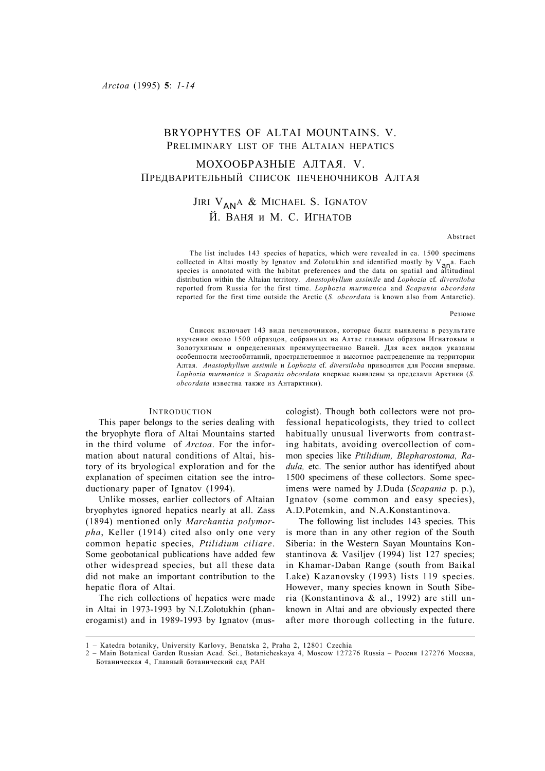# BRYOPHYTES OF ALTAI MOUNTAINS. V. PRELIMINARY LIST OF THE ALTAIAN HEPATICS

## МОХООБРАЗНЫЕ АЛТАЯ. V. ПРЕДВАРИТЕЛЬНЫЙ СПИСОК ПЕЧЕНОЧНИКОВ АЛТАЯ

# Jiri V<sub>an</sub>a & Michael S. Ignatov Й. ВАНЯ и М. С. ИГНАТОВ

### Abstract

The list includes 143 species of hepatics, which were revealed in ca. 1500 specimens collected in Altai mostly by Ignatov and Zolotukhin and identified mostly by  $V_{\text{an}}$ a. Each species is annotated with the habitat preferences and the data on spatial and altitudinal distribution within the Altaian territory. *Anastophyllum assimile* and *Lophozia* cf. *diversiloba* reported from Russia for the first time. *Lophozia murmanica* and *Scapania obcordata* reported for the first time outside the Arctic (*S. obcordata* is known also from Antarctic).

Резюме

Список включает 143 вида печеночников, которые были выявлены в результате изучения около 1500 образцов, собранных на Алтае главным образом Игнатовым и Золотухиным и определенных преимущественно Ваней. Для всех видов указаны особенности местообитаний, пространственное и высотное распределение на территории Алтая. *Anastophyllum assimile* и *Lophozia* cf. *diversiloba* приводятся для России впервые. *Lophozia murmanica* и *Scapania obcordata* впервые выявлены за пределами Арктики (*S. obcordata* известна также из Антарктики).

## INTRODUCTION

This paper belongs to the series dealing with the bryophyte flora of Altai Mountains started in the third volume of *Arctoa*. For the information about natural conditions of Altai, history of its bryological exploration and for the explanation of specimen citation see the introductionary paper of Ignatov (1994).

Unlike mosses, earlier collectors of Altaian bryophytes ignored hepatics nearly at all. Zass (1894) mentioned only *Marchantia polymorpha*, Keller (1914) cited also only one very common hepatic species, *Ptilidium ciliare*. Some geobotanical publications have added few other widespread species, but all these data did not make an important contribution to the hepatic flora of Altai.

The rich collections of hepatics were made in Altai in 1973-1993 by N.I.Zolotukhin (phanerogamist) and in 1989-1993 by Ignatov (muscologist). Though both collectors were not professional hepaticologists, they tried to collect habitually unusual liverworts from contrasting habitats, avoiding overcollection of common species like *Ptilidium, Blepharostoma, Radula,* etc. The senior author has identifyed about 1500 specimens of these collectors. Some specimens were named by J.Duda (*Scapania* p. p.), Ignatov (some common and easy species), A.D.Potemkin, and N.A.Konstantinova.

The following list includes 143 species. This is more than in any other region of the South Siberia: in the Western Sayan Mountains Konstantinova & Vasiljev (1994) list 127 species; in Khamar-Daban Range (south from Baikal Lake) Kazanovsky (1993) lists 119 species. However, many species known in South Siberia (Konstantinova & al., 1992) are still unknown in Altai and are obviously expected there after more thorough collecting in the future.

<sup>1 –</sup> Katedra botaniky, University Karlovy, Benatska 2, Praha 2, 12801 Czechia

<sup>2 –</sup> Main Botanical Garden Russian Acad. Sci., Botanicheskaya 4, Moscow 127276 Russia – Россия 127276 Москва, Ботаническая 4, Главный ботанический сад РАН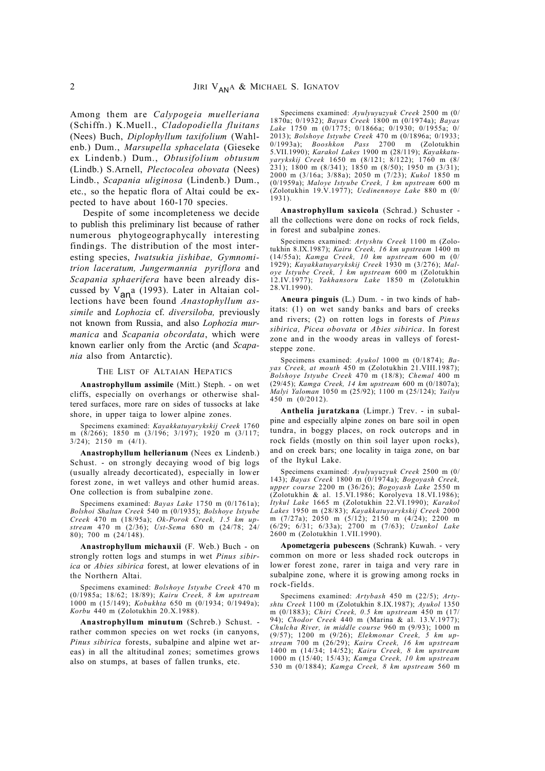Among them are *Calypogeia muelleriana* (Schiffn.) K.Muell., *Cladopodiella fluitans* (Nees) Buch, *Diplophyllum taxifolium* (Wahlenb.) Dum., *Marsupella sphacelata* (Gieseke ex Lindenb.) Dum., *Obtusifolium obtusum* (Lindb.) S.Arnell, *Plectocolea obovata* (Nees) Lindb., *Scapania uliginosa* (Lindenb.) Dum., etc., so the hepatic flora of Altai could be expected to have about 160-170 species.

Despite of some incompleteness we decide to publish this preliminary list because of rather numerous phytogeographycally interesting findings. The distribution of the most interesting species, *Iwatsukia jishibae, Gymnomitrion laceratum, Jungermannia pyriflora* and *Scapania sphaerifera* have been already discussed by  $V_{\text{an}}$  (1993). Later in Altaian collections have been found *Anastophyllum assimile* and *Lophozia* cf. *diversiloba,* previously not known from Russia, and also *Lophozia murmanica* and *Scapania obcordata*, which were known earlier only from the Arctic (and *Scapania* also from Antarctic).

#### THE LIST OF ALTAIAN HEPATICS

**Anastrophyllum assimile** (Mitt.) Steph. - on wet cliffs, especially on overhangs or otherwise shaltered surfaces, more rare on sides of tussocks at lake shore, in upper taiga to lower alpine zones.

Specimens examined: *Kayakkatuyarykskij Creek* 1760 m (8/266); 1850 m (3/196; 3/197); 1920 m (3/117;  $3/24$ ; 2150 m  $(4/1)$ .

**Anastrophyllum hellerianum** (Nees ex Lindenb.) Schust. - on strongly decaying wood of big logs (usually already decorticated), especially in lower forest zone, in wet valleys and other humid areas. One collection is from subalpine zone.

Specimens examined: *Bayas Lake* 1750 m (0/1761a); *Bolshoi Shaltan Creek* 540 m (0/1935); *Bolshoye Istyube Creek* 470 m (18/95a); *Ok-Porok Creek, 1.5 km upstream* 470 m (2/36); *Ust-Sema* 680 m (24/78; 24/ 80); 700 m (24/148).

**Anastrophyllum michauxii** (F. Web.) Buch - on strongly rotten logs and stumps in wet *Pinus sibirica* or *Abies sibirica* forest, at lower elevations of in the Northern Altai.

Specimens examined: *Bolshoye Istyube Creek* 470 m (0/1985a; 18/62; 18/89); *Kairu Creek, 8 km upstream* 1000 m (15/149); *Kobukhta* 650 m (0/1934; 0/1949a); *Korbu* 440 m (Zolotukhin 20.X.1988).

**Anastrophyllum minutum** (Schreb.) Schust. rather common species on wet rocks (in canyons, *Pinus sibirica* forests, subalpine and alpine wet areas) in all the altitudinal zones; sometimes grows also on stumps, at bases of fallen trunks, etc.

Specimens examined: *Ayulyuyuzyuk Creek* 2500 m (0/ 1870a; 0/1932); *Bayas Creek* 1800 m (0/1974a); *Bayas Lake* 1750 m (0/1775; 0/1866a; 0/1930; 0/1955a; 0/ 2013); *Bolshoye Istyube Creek* 470 m (0/1896a; 0/1933;  $B$ ooshkon Pass 2700 5.VII.1990); *Karakol Lakes* 1900 m (28/119); *Kayakkatuyarykskij Creek* 1650 m (8/121; 8/122); 1760 m (8/  $(231)$ ; 1800 m (8/341); 1850 m (8/50); 1950 m (3/31); 2000 m (3/16a; 3/88a); 2050 m (7/23); *Kukol* 1850 m (0/1959a); *Maloye Istyube Creek, 1 km upstream* 600 m (Zolotukhin 19.V.1977); *Uedinennoye Lake* 880 m (0/ 1931).

**Anastrophyllum saxicola** (Schrad.) Schuster all the collections were done on rocks of rock fields, in forest and subalpine zones.

Specimens examined: *Artyshtu Creek* 1100 m (Zolotukhin 8.IX.1987); *Kairu Creek, 16 km upstream* 1400 m (14/55a); *Kamga Creek, 10 km upstream* 600 m (0/ 1929); *Kayakkatuyarykskij Creek* 1930 m (3/276); *Maloye Istyube Creek, 1 km upstream* 600 m (Zolotukhin 12.IV.1977); *Yakhansoru Lake* 1850 m (Zolotukhin 28.VI.1990).

**Aneura pinguis** (L.) Dum. - in two kinds of habitats: (1) on wet sandy banks and bars of creeks and rivers; (2) on rotten logs in forests of *Pinus sibirica, Picea obovata* or *Abies sibirica*. In forest zone and in the woody areas in valleys of foreststeppe zone.

Specimens examined: *Ayukol* 1000 m (0/1874); *Bayas Creek, at mouth* 450 m (Zolotukhin 21.VIII.1987); *Bolshoye Istyube Creek* 470 m (18/8); *Chemal* 400 m (29/45); *Kamga Creek, 14 km upstream* 600 m (0/1807a); *Malyi Yaloman* 1050 m (25/92); 1100 m (25/124); *Yailyu* 450 m (0/2012).

**Anthelia juratzkana** (Limpr.) Trev. - in subalpine and especially alpine zones on bare soil in open tundra, in boggy places, on rock outcrops and in rock fields (mostly on thin soil layer upon rocks), and on creek bars; one locality in taiga zone, on bar of the Itykul Lake.

Specimens examined: *Ayulyuyuzyuk Creek* 2500 m (0/ 143); *Bayas Creek* 1800 m (0/1974a); *Bogoyash Creek, upper course* 2200 m (36/26); *Bogoyash Lake* 2550 m (Zolotukhin & al. 15.VI.1986; Korolyeva 18.VI.1986); *Itykul Lake* 1665 m (Zolotukhin 22.VI.1990); *Karakol Lakes* 1950 m (28/83); *Kayakkatuyarykskij Creek* 2000 m (7/27a); 2050 m (5/12); 2150 m (4/24); 2200 m (6/29; 6/31; 6/33a); 2700 m (7/63); *Uzunkol Lake* 2600 m (Zolotukhin 1.VII.1990).

**Apometzgeria pubescens** (Schrank) Kuwah. - very common on more or less shaded rock outcrops in lower forest zone, rarer in taiga and very rare in subalpine zone, where it is growing among rocks in rock-fields.

Specimens examined: *Artybash* 450 m (22/5); *Artyshtu Creek* 1100 m (Zolotukhin 8.IX.1987); *Ayukol* 1350 m (0/1883); *Chiri Creek, 0.5 km upstream* 450 m (17/ 94); *Chodor Creek* 440 m (Marina & al. 13.V.1977); *Chulcha River, in middle course* 960 m (9/93); 1000 m (9/57); 1200 m (9/26); *Elekmonar Creek, 5 km upstream* 700 m (26/29); *Kairu Creek, 16 km upstream* 1400 m (14/34; 14/52); *Kairu Creek, 8 km upstream* 1000 m (15/40; 15/43); *Kamga Creek, 10 km upstream* 530 m (0/1884); *Kamga Creek, 8 km upstream* 560 m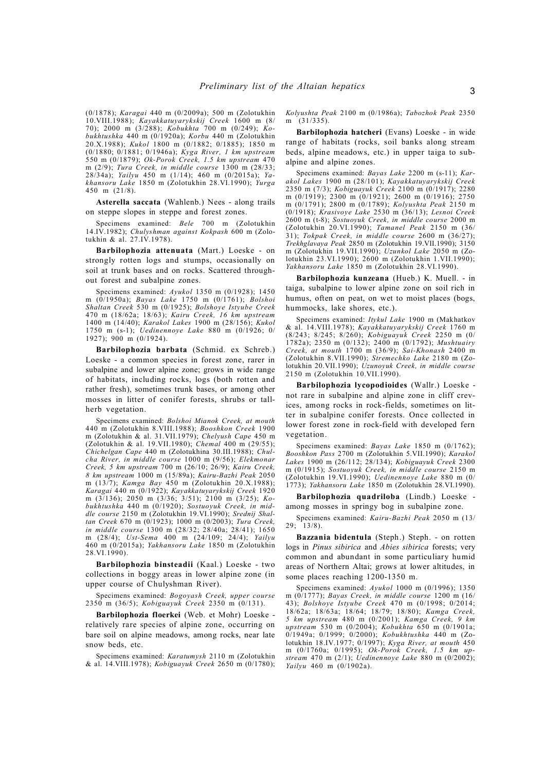(0/1878); *Karagai* 440 m (0/2009a); 500 m (Zolotukhin 10.VIII.1988); *Kayakkatuyarykskij Creek* 1600 m (8/ 70); 2000 m (3/288); *Kobukhta* 700 m (0/249); *Kobukhtushka* 440 m (0/1920a); *Korbu* 440 m (Zolotukhin 20.X.1988); *Kukol* 1800 m (0/1882; 0/1885); 1850 m (0/1880; 0/1881; 0/1946a); *Kyga River, 1 km upstream* 550 m (0/1879); *Ok-Porok Creek, 1.5 km upstream* 470 m (2/9); *Tura Creek, in middle course* 1300 m (28/33; 28/34a); *Yailyu* 450 m (1/14); 460 m (0/2015a); *Yakhansoru Lake* 1850 m (Zolotukhin 28.VI.1990); *Yurga* 450 m (21/8).

**Asterella saccata** (Wahlenb.) Nees - along trails on steppe slopes in steppe and forest zones.

Specimens examined: *Bele* 700 m (Zolotukhin 14.IV.1982); *Chulyshman against Kokpash* 600 m (Zolotukhin & al. 27.IV.1978).

**Barbilophozia attenuata** (Mart.) Loeske - on strongly rotten logs and stumps, occasionally on soil at trunk bases and on rocks. Scattered throughout forest and subalpine zones.

Specimens examined: *Ayukol* 1350 m (0/1928); 1450 m (0/1950a); *Bayas Lake* 1750 m (0/1761); *Bolshoi Shaltan Creek* 530 m (0/1925); *Bolshoye Istyube Creek* 470 m (18/62a; 18/63); *Kairu Creek, 16 km upstream* 1400 m (14/40); *Karakol Lakes* 1900 m (28/156); *Kukol* 1750 m (s-1); *Uedinennoye Lake* 880 m (0/1926; 0/ 1927); 900 m (0/1924).

**Barbilophozia barbata** (Schmid. ex Schreb.) Loeske - a common species in forest zone, rarer in subalpine and lower alpine zone; grows in wide range of habitats, including rocks, logs (both rotten and rather fresh), sometimes trunk bases, or among other mosses in litter of conifer forests, shrubs or tallherb vegetation.

Specimens examined: *Bolshoi Mianok Creek, at mouth* 440 m (Zolotukhin 8.VIII.1988); *Booshkon Creek* 1900 m (Zolotukhin & al. 31.VII.1979); *Chelyush Cape* 450 m (Zolotukhin & al. 19.VII.1980); *Chemal* 400 m (29/55); *Chichelgan Cape* 440 m (Zolotukhina 30.III.1988); *Chulcha River, in middle course* 1000 m (9/56); *Elekmonar Creek, 5 km upstream* 700 m (26/10; 26/9); *Kairu Creek, 8 km upstream* 1000 m (15/89a); *Kairu-Bazhi Peak* 2050 m (13/7); *Kamga Bay* 450 m (Zolotukhin 20.X.1988); *Karagai* 440 m (0/1922); *Kayakkatuyarykskij Creek* 1920 m (3/136); 2050 m (3/36; 3/51); 2100 m (3/25); *Kobukhtushka* 440 m (0/1920); *Sostuoyuk Creek, in middle course* 2150 m (Zolotukhin 19.VI.1990); *Srednij Shaltan Creek* 670 m (0/1923); 1000 m (0/2003); *Tura Creek, in middle course* 1300 m (28/32; 28/40a; 28/41); 1650 m (28/4); *Ust-Sema* 400 m (24/109; 24/4); *Yailyu* 460 m (0/2015a); *Yakhansoru Lake* 1850 m (Zolotukhin 28.VI.1990).

**Barbilophozia binsteadii** (Kaal.) Loeske - two collections in boggy areas in lower alpine zone (in upper course of Chulyshman River).

Specimens examined: *Bogoyash Creek, upper course* 2350 m (36/5); *Kobiguayuk Creek* 2350 m (0/131).

**Barbilophozia floerkei** (Web. et Mohr) Loeske relatively rare species of alpine zone, occurring on bare soil on alpine meadows, among rocks, near late snow beds, etc.

Specimens examined: *Karatumysh* 2110 m (Zolotukhin & al. 14.VIII.1978); *Kobiguayuk Creek* 2650 m (0/1780); *Kolyushta Peak* 2100 m (0/1986a); *Tabozhok Peak* 2350 m (31/335).

**Barbilophozia hatcheri** (Evans) Loeske - in wide range of habitats (rocks, soil banks along stream beds, alpine meadows, etc.) in upper taiga to subalpine and alpine zones.

Specimens examined: *Bayas Lake* 2200 m (s-11); *Karakol Lakes* 1900 m (28/101); *Kayakkatuyarykskij Creek* 2350 m (7/3); *Kobiguayuk Creek* 2100 m (0/1917); 2280 m (0/1919); 2300 m (0/1921); 2600 m (0/1916); 2750 m (0/1791); 2800 m (0/1789); *Kolyushta Peak* 2150 m (0/1918); *Krasivoye Lake* 2530 m (36/13); *Lesnoi Creek* 2600 m (t-8); *Sostuoyuk Creek, in middle course* 2000 m (Zolotukhin 20.VI.1990); *Tamanel Peak* 2150 m (36/ 31); *Tokpak Creek, in middle course* 2600 m (36/27); *Trekhglavaya Peak* 2850 m (Zolotukhin 19.VII.1990); 3150 m (Zolotukhin 19.VII.1990); *Uzunkol Lake* 2050 m (Zolotukhin 23.VI.1990); 2600 m (Zolotukhin 1.VII.1990); *Yakhansoru Lake* 1850 m (Zolotukhin 28.VI.1990).

**Barbilophozia kunzeana** (Hueb.) K. Muell. - in taiga, subalpine to lower alpine zone on soil rich in humus, often on peat, on wet to moist places (bogs, hummocks, lake shores, etc.).

Specimens examined: *Itykul Lake* 1900 m (Makhatkov & al. 14.VIII.1978); *Kayakkatuyarykskij Creek* 1760 m (8/243; 8/245; 8/260); *Kobiguayuk Creek* 2250 m (0/ 1782a); 2350 m (0/132); 2400 m (0/1792); *Mushtuairy Creek, at mouth* 1700 m (36/9); *Sai-Khonash* 2400 m (Zolotukhin 8.VII.1990); *Stremechko Lake* 2180 m (Zolotukhin 20.VII.1990); *Uzunoyuk Creek, in middle course* 2150 m (Zolotukhin 10.VII.1990).

**Barbilophozia lycopodioides** (Wallr.) Loeske not rare in subalpine and alpine zone in cliff crevices, among rocks in rock-fields, sometimes on litter in subalpine conifer forests. Once collected in lower forest zone in rock-field with developed fern vegetation.

Specimens examined: *Bayas Lake* 1850 m (0/1762); *Booshkon Pass* 2700 m (Zolotukhin 5.VII.1990); *Karakol Lakes* 1900 m (26/112; 28/134); *Kobiguayuk Creek* 2300 m (0/1915); *Sostuoyuk Creek, in middle course* 2150 m (Zolotukhin 19.VI.1990); *Uedinennoye Lake* 880 m (0/ 1773); *Yakhansoru Lake* 1850 m (Zolotukhin 28.VI.1990).

**Barbilophozia quadriloba** (Lindb.) Loeske among mosses in springy bog in subalpine zone.

Specimens examined: *Kairu-Bazhi Peak* 2050 m (13/ 29; 13/8).

**Bazzania bidentula** (Steph.) Steph. - on rotten logs in *Pinus sibirica* and *Abies sibirica* forests; very common and abundant in some particuliary humid areas of Northern Altai; grows at lower altitudes, in some places reaching 1200-1350 m.

Specimens examined: *Ayukol* 1000 m (0/1996); 1350 m (0/1777); *Bayas Creek, in middle course* 1200 m (16/ 43); *Bolshoye Istyube Creek* 470 m (0/1998; 0/2014; 18/62a; 18/63a; 18/64; 18/79; 18/80); *Kamga Creek, 5 km upstream* 480 m (0/2001); *Kamga Creek, 9 km upstream* 530 m (0/2004); *Kobukhta* 650 m (0/1901a; 0/1949a; 0/1999; 0/2000); *Kobukhtushka* 440 m (Zolotukhin 18.IV.1977; 0/1997); *Kyga River, at mouth* 450 m (0/1760a; 0/1995); *Ok-Porok Creek, 1.5 km upstream* 470 m (2/1); *Uedinennoye Lake* 880 m (0/2002); *Yailyu* 460 m (0/1902a).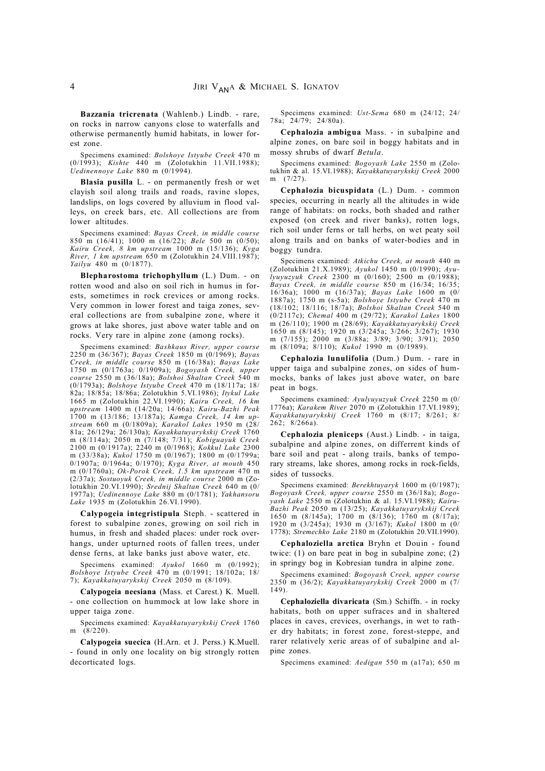**Bazzania tricrenata** (Wahlenb.) Lindb. - rare, on rocks in narrow canyons close to waterfalls and otherwise permanently humid habitats, in lower forest zone.

Specimens examined: *Bolshoye Istyube Creek* 470 m (0/1993); *Kishte* 440 m (Zolotukhin 11.VII.1988); *Uedinennoye Lake* 880 m (0/1994).

**Blasia pusilla** L. - on permanently fresh or wet clayish soil along trails and roads, ravine slopes, landslips, on logs covered by alluvium in flood valleys, on creek bars, etc. All collections are from lower altitudes.

Specimens examined: *Bayas Creek, in middle course* 850 m (16/41); 1000 m (16/22); *Bele* 500 m (0/50); *Kairu Creek, 8 km upstream* 1000 m (15/136); *Kyga River, 1 km upstream* 650 m (Zolotukhin 24.VIII.1987); *Yailyu* 480 m (0/1877).

**Blepharostoma trichophyllum** (L.) Dum. - on rotten wood and also on soil rich in humus in forests, sometimes in rock crevices or among rocks. Very common in lower forest and taiga zones, several collections are from subalpine zone, where it grows at lake shores, just above water table and on rocks. Very rare in alpine zone (among rocks).

Specimens examined: *Bashkaus River, upper course* 2250 m (36/367); *Bayas Creek* 1850 m (0/1969); *Bayas Creek, in middle course* 850 m (16/38a); *Bayas Lake* 1750 m (0/1763a; 0/1909a); *Bogoyash Creek, upper course* 2550 m (36/18a); *Bolshoi Shaltan Creek* 540 m (0/1793a); *Bolshoye Istyube Creek* 470 m (18/117a; 18/ 82a; 18/85a; 18/86a; Zolotukhin 5.VI.1986); *Itykul Lake* 1665 m (Zolotukhin 22.VI.1990); *Kairu Creek, 16 km upstream* 1400 m (14/20a; 14/66a); *Kairu-Bazhi Peak* 1700 m (13/186; 13/187a); *Kamga Creek, 14 km upstream* 660 m (0/1809a); *Karakol Lakes* 1950 m (28/ 81a; 26/129a; 26/130a); *Kayakkatuyarykskij Creek* 1760 m (8/114a); 2050 m (7/148; 7/31); *Kobiguayuk Creek* 2100 m (0/1917a); 2240 m (0/1968); *Kokkul Lake* 2300 m (33/38a); *Kukol* 1750 m (0/1967); 1800 m (0/1799a; 0/1907a; 0/1964a; 0/1970); *Kyga River, at mouth* 450 m (0/1760a); *Ok-Porok Creek, 1.5 km upstream* 470 m (2/37a); *Sostuoyuk Creek, in middle course* 2000 m (Zolotukhin 20.VI.1990); *Srednij Shaltan Creek* 640 m (0/ 1977a); *Uedinennoye Lake* 880 m (0/1781); *Yakhansoru Lake* 1935 m (Zolotukhin 26.VI.1990).

**Calypogeia integristipula** Steph. - scattered in forest to subalpine zones, growing on soil rich in humus, in fresh and shaded places: under rock overhangs, under upturned roots of fallen trees, under dense ferns, at lake banks just above water, etc.

Specimens examined: *Ayukol* 1660 m (0/1992); *Bolshoye Istyube Creek* 470 m (0/1991; 18/102a; 18/ 7); *Kayakkatuyarykskij Creek* 2050 m (8/109).

**Calypogeia neesiana** (Mass. et Carest.) K. Muell. - one collection on hummock at low lake shore in upper taiga zone.

Specimens examined: *Kayakkatuyarykskij Creek* 1760 m  $(8/220)$ .

**Calypogeia suecica** (H.Arn. et J. Perss.) K.Muell. - found in only one locality on big strongly rotten decorticated logs.

Specimens examined: *Ust-Sema* 680 m (24/12; 24/ 78a; 24/79; 24/80a).

**Cephalozia ambigua** Mass. - in subalpine and alpine zones, on bare soil in boggy habitats and in mossy shrubs of dwarf *Betula*.

Specimens examined: *Bogoyash Lake* 2550 m (Zolotukhin & al. 15.VI.1988); *Kayakkatuyarykskij Creek* 2000 m (7/27).

**Cephalozia bicuspidata** (L.) Dum. - common species, occurring in nearly all the altitudes in wide range of habitats: on rocks, both shaded and rather exposed (on creek and river banks), rotten logs, rich soil under ferns or tall herbs, on wet peaty soil along trails and on banks of water-bodies and in boggy tundra.

Specimens examined: *Atkichu Creek, at mouth* 440 m (Zolotukhin 21.X.1989); *Ayukol* 1450 m (0/1990); *Ayulyuyuzyuk Creek* 2300 m (0/160); 2500 m (0/1988); *Bayas Creek, in middle course* 850 m (16/34; 16/35; 16/36a); 1000 m (16/37a); *Bayas Lake* 1600 m (0/ 1887a); 1750 m (s-5a); *Bolshoye Istyube Creek* 470 m (18/102; 18/116; 18/7a); *Bolshoi Shaltan Creek* 540 m (0/2117c); *Chemal* 400 m (29/72); *Karakol Lakes* 1800 m (26/110); 1900 m (28/69); *Kayakkatuyarykskij Creek* 1650 m (8/145); 1920 m (3/245a; 3/266; 3/267); 1930 m (7/155); 2000 m (3/88a; 3/89; 3/90; 3/91); 2050 m (8/109a; 8/110); *Kukol* 1990 m (0/1989).

**Cephalozia lunulifolia** (Dum.) Dum. - rare in upper taiga and subalpine zones, on sides of hummocks, banks of lakes just above water, on bare peat in bogs.

Specimens examined: *Ayulyuyuzyuk Creek* 2250 m (0/ 1776a); *Karakem River* 2070 m (Zolotukhin 17.VI.1989); *Kayakkatuyarykskij Creek* 1760 m (8/17; 8/261; 8/ 262; 8/266a).

**Cephalozia pleniceps** (Aust.) Lindb. - in taiga, subalpine and alpine zones, on differrent kinds of bare soil and peat - along trails, banks of temporary streams, lake shores, among rocks in rock-fields, sides of tussocks.

Specimens examined: *Berekhtuyaryk* 1600 m (0/1987); *Bogoyash Creek, upper course* 2550 m (36/18a); *Bogoyash Lake* 2550 m (Zolotukhin & al. 15.VI.1988); *Kairu-Bazhi Peak* 2050 m (13/25); *Kayakkatuyarykskij Creek* 1650 m (8/145a); 1700 m (8/136); 1760 m (8/17a); 1920 m (3/245a); 1930 m (3/167); *Kukol* 1800 m (0/ 1778); *Stremechko Lake* 2180 m (Zolotukhin 20.VII.1990).

**Cephaloziella arctica** Bryhn et Douin - found twice: (1) on bare peat in bog in subalpine zone; (2) in springy bog in Kobresian tundra in alpine zone.

Specimens examined: *Bogoyash Creek, upper course* 2350 m (36/2); *Kayakkatuyarykskij Creek* 2000 m (7/ 149).

**Cephaloziella divaricata** (Sm.) Schiffn. - in rocky habitats, both on upper sufraces and in shaltered places in caves, crevices, overhangs, in wet to rather dry habitats; in forest zone, forest-steppe, and rarer relatively xeric areas of of subalpine and alpine zones.

Specimens examined: *Aedigan* 550 m (a17a); 650 m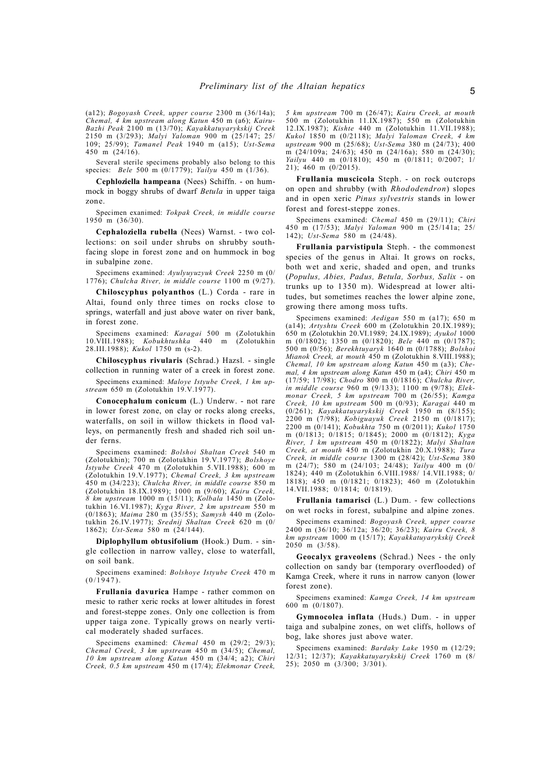(a12); *Bogoyash Creek, upper course* 2300 m (36/14a); *Chemal, 4 km upstream along Katun* 450 m (a6); *Kairu-Bazhi Peak* 2100 m (13/70); *Kayakkatuyarykskij Creek* 2150 m (3/293); *Malyi Yaloman* 900 m (25/147; 25/ 109; 25/99); *Tamanel Peak* 1940 m (a15); *Ust-Sema* 450 m (24/16).

Several sterile specimens probably also belong to this species: *Bele* 500 m (0/1779); *Yailyu* 450 m (1/36).

**Cephloziella hampeana** (Nees) Schiffn. - on hummock in boggy shrubs of dwarf *Betula* in upper taiga zone.

Specimen exanimed: *Tokpak Creek, in middle course* 1950 m (36/30).

**Cephaloziella rubella** (Nees) Warnst. - two collections: on soil under shrubs on shrubby southfacing slope in forest zone and on hummock in bog in subalpine zone.

Specimens examined: *Ayulyuyuzyuk Creek* 2250 m (0/ 1776); *Chulcha River, in middle course* 1100 m (9/27).

**Chiloscyphus polyanthos** (L.) Corda - rare in Altai, found only three times on rocks close to springs, waterfall and just above water on river bank, in forest zone.

Specimens examined: *Karagai* 500 m (Zolotukhin 10.VIII.1988); *Kobukhtushka* 440 m (Zolotukhin 28.III.1988); *Kukol* 1750 m (s-2).

**Chiloscyphus rivularis** (Schrad.) Hazsl. - single collection in running water of a creek in forest zone.

Specimens examined: *Maloye Istyube Creek, 1 km upstream* 650 m (Zolotukhin 19.V.1977).

**Conocephalum conicum** (L.) Underw. - not rare in lower forest zone, on clay or rocks along creeks, waterfalls, on soil in willow thickets in flood valleys, on permanently fresh and shaded rich soil under ferns.

Specimens examined: *Bolshoi Shaltan Creek* 540 m (Zolotukhin); 700 m (Zolotukhin 19.V.1977); *Bolshoye Istyube Creek* 470 m (Zolotukhin 5.VII.1988); 600 m (Zolotukhin 19.V.1977); *Chemal Creek, 3 km upstream* 450 m (34/223); *Chulcha River, in middle course* 850 m (Zolotukhin 18.IX.1989); 1000 m (9/60); *Kairu Creek, 8 km upstream* 1000 m (15/11); *Kolbala* 1450 m (Zolotukhin 16.VI.1987); *Kyga River, 2 km upstream* 550 m (0/1863); *Maima* 280 m (35/55); *Samysh* 440 m (Zolotukhin 26.IV.1977); *Srednij Shaltan Creek* 620 m (0/ 1862); *Ust-Sema* 580 m (24/144).

**Diplophyllum obtusifolium** (Hook.) Dum. - single collection in narrow valley, close to waterfall, on soil bank.

Specimens examined: *Bolshoye Istyube Creek* 470 m  $(0/1947)$ .

**Frullania davurica** Hampe - rather common on mesic to rather xeric rocks at lower altitudes in forest and forest-steppe zones. Only one collection is from upper taiga zone. Typically grows on nearly vertical moderately shaded surfaces.

Specimens examined: *Chemal* 450 m (29/2; 29/3); *Chemal Creek, 3 km upstream* 450 m (34/5); *Chemal, 10 km upstream along Katun* 450 m (34/4; a2); *Chiri Creek, 0.5 km upstream* 450 m (17/4); *Elekmonar Creek,* *5 km upstream* 700 m (26/47); *Kairu Creek, at mouth* 500 m (Zolotukhin 11.IX.1987); 550 m (Zolotukhin 12.IX.1987); *Kishte* 440 m (Zolotukhin 11.VII.1988); *Kukol* 1850 m (0/2118); *Malyi Yaloman Creek, 4 km upstream* 900 m (25/68); *Ust-Sema* 380 m (24/73); 400 m (24/109a; 24/63); 450 m (24/16a); 580 m (24/30); *Yailyu* 440 m (0/1810); 450 m (0/1811; 0/2007; 1/ 21); 460 m (0/2015).

**Frullania muscicola** Steph. - on rock outcrops on open and shrubby (with *Rhododendron*) slopes and in open xeric *Pinus sylvestris* stands in lower forest and forest-steppe zones.

Specimens examined: *Chemal* 450 m (29/11); *Chiri* 450 m (17/53); *Malyi Yaloman* 900 m (25/141a; 25/ 142); *Ust-Sema* 580 m (24/48).

**Frullania parvistipula** Steph. - the commonest species of the genus in Altai. It grows on rocks, both wet and xeric, shaded and open, and trunks (*Populus, Abies, Padus, Betula, Sorbus, Salix* - on trunks up to 1350 m). Widespread at lower altitudes, but sometimes reaches the lower alpine zone, growing there among moss tufts.

Specimens examined: *Aedigan* 550 m (a17); 650 m (a14); *Artyshtu Creek* 600 m (Zolotukhin 20.IX.1989); 650 m (Zolotukhin 20.VI.1989; 24.IX.1989); *Ayukol* 1000 m (0/1802); 1350 m (0/1820); *Bele* 440 m (0/1787); 500 m (0/56); *Berekhtuyaryk* 1640 m (0/1788); *Bolshoi Mianok Creek, at mouth* 450 m (Zolotukhin 8.VIII.1988); *Chemal, 10 km upstream along Katun* 450 m (a3); *Chemal, 4 km upstream along Katun* 450 m (a4); *Chiri* 450 m (17/59; 17/98); *Chodro* 800 m (0/1816); *Chulcha River, in middle course* 960 m (9/133); 1100 m (9/78); *Elekmonar Creek, 5 km upstream* 700 m (26/55); *Kamga Creek, 10 km upstream* 500 m (0/93); *Karagai* 440 m (0/261); *Kayakkatuyarykskij Creek* 1950 m (8/155); 2200 m (7/98); *Kobiguayuk Creek* 2150 m (0/1817); 2200 m (0/141); *Kobukhta* 750 m (0/2011); *Kukol* 1750 m (0/1813; 0/1815; 0/1845); 2000 m (0/1812); *Kyga River, 1 km upstream* 450 m (0/1822); *Malyi Shaltan Creek, at mouth* 450 m (Zolotukhin 20.X.1988); *Tura Creek, in middle course* 1300 m (28/42); *Ust-Sema* 380 m (24/7); 580 m (24/103; 24/48); *Yailyu* 400 m (0/ 1824); 440 m (Zolotukhin 6.VIII.1988/ 14.VII.1988; 0/ 1818); 450 m (0/1821; 0/1823); 460 m (Zolotukhin 14.VII.1988; 0/1814; 0/1819).

**Frullania tamarisci** (L.) Dum. - few collections on wet rocks in forest, subalpine and alpine zones.

Specimens examined: *Bogoyash Creek, upper course* 2400 m (36/10; 36/12a; 36/20; 36/23); *Kairu Creek, 8 km upstream* 1000 m (15/17); *Kayakkatuyarykskij Creek*  $2050 \text{ m}$  (3/58).

**Geocalyx graveolens** (Schrad.) Nees - the only collection on sandy bar (temporary overflooded) of Kamga Creek, where it runs in narrow canyon (lower forest zone).

Specimens examined: *Kamga Creek, 14 km upstream* 600 m (0/1807).

**Gymnocolea inflata** (Huds.) Dum. - in upper taiga and subalpine zones, on wet cliffs, hollows of bog, lake shores just above water.

Specimens examined: *Bardaky Lake* 1950 m (12/29; 12/31; 12/37); *Kayakkatuyarykskij Creek* 1760 m (8/ 25); 2050 m (3/300; 3/301).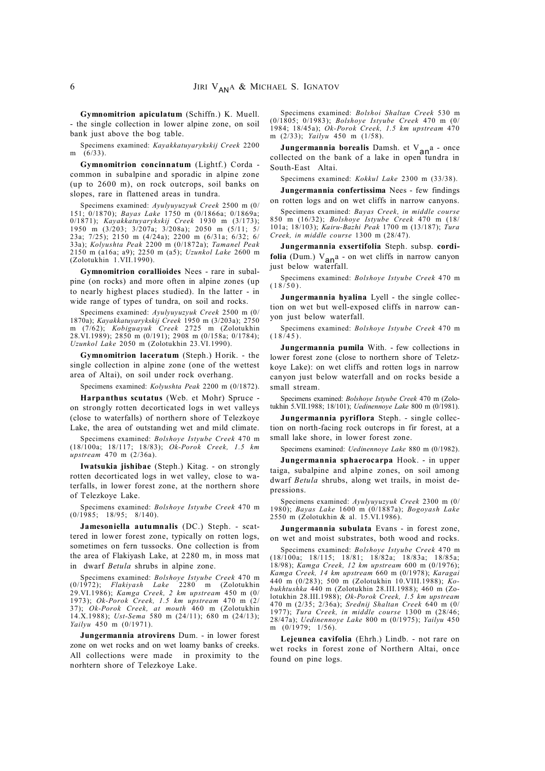**Gymnomitrion apiculatum** (Schiffn.) K. Muell. - the single collection in lower alpine zone, on soil bank just above the bog table.

Specimens examined: *Kayakkatuyarykskij Creek* 2200 m  $(6/33)$ 

**Gymnomitrion concinnatum** (Lightf.) Corda common in subalpine and sporadic in alpine zone (up to 2600 m), on rock outcrops, soil banks on slopes, rare in flattened areas in tundra.

Specimens examined: *Ayulyuyuzyuk Creek* 2500 m (0/ 151; 0/1870); *Bayas Lake* 1750 m (0/1866a; 0/1869a; 0/1871); *Kayakkatuyarykskij Creek* 1930 m (3/173); 1950 m (3/203; 3/207a; 3/208a); 2050 m (5/11; 5/ 23a; 7/25); 2150 m (4/24a); 2200 m (6/31a; 6/32; 6/ 33a); *Kolyushta Peak* 2200 m (0/1872a); *Tamanel Peak* 2150 m (a16a; a9); 2250 m (a5); *Uzunkol Lake* 2600 m (Zolotukhin 1.VII.1990).

**Gymnomitrion corallioides** Nees - rare in subalpine (on rocks) and more often in alpine zones (up to nearly highest places studied). In the latter - in wide range of types of tundra, on soil and rocks.

Specimens examined: *Ayulyuyuzyuk Creek* 2500 m (0/ 1870a); *Kayakkatuyarykskij Creek* 1950 m (3/203a); 2750 m (7/62); *Kobiguayuk Creek* 2725 m (Zolotukhin 28.VI.1989); 2850 m (0/191); 2908 m (0/158a; 0/1784); *Uzunkol Lake* 2050 m (Zolotukhin 23.VI.1990).

**Gymnomitrion laceratum** (Steph.) Horik. - the single collection in alpine zone (one of the wettest area of Altai), on soil under rock overhang.

Specimens examined: *Kolyushta Peak* 2200 m (0/1872).

**Harpanthus scutatus** (Web. et Mohr) Spruce on strongly rotten decorticated logs in wet valleys (close to waterfalls) of northern shore of Telezkoye Lake, the area of outstanding wet and mild climate.

Specimens examined: *Bolshoye Istyube Creek* 470 m (18/100a; 18/117; 18/83); *Ok-Porok Creek, 1.5 km upstream* 470 m (2/36a).

**Iwatsukia jishibae** (Steph.) Kitag. - on strongly rotten decorticated logs in wet valley, close to waterfalls, in lower forest zone, at the northern shore of Telezkoye Lake.

Specimens examined: *Bolshoye Istyube Creek* 470 m  $(0/1985; 18/95; 8/140).$ 

**Jamesoniella autumnalis** (DC.) Steph. - scattered in lower forest zone, typically on rotten logs, sometimes on fern tussocks. One collection is from the area of Flakiyash Lake, at 2280 m, in moss mat in dwarf *Betula* shrubs in alpine zone.

Specimens examined: *Bolshoye Istyube Creek* 470 m (0/1972); *Flakiyash Lake* 2280 m (Zolotukhin 29.VI.1986); *Kamga Creek, 2 km upstream* 450 m (0/ 1973); *Ok-Porok Creek, 1.5 km upstream* 470 m (2/ 37); *Ok-Porok Creek, at mouth* 460 m (Zolotukhin 14.X.1988); *Ust-Sema* 580 m (24/11); 680 m (24/13); *Yailyu* 450 m (0/1971).

**Jungermannia atrovirens** Dum. - in lower forest zone on wet rocks and on wet loamy banks of creeks. All collections were made in proximity to the norhtern shore of Telezkoye Lake.

Specimens examined: *Bolshoi Shaltan Creek* 530 m (0/1805; 0/1983); *Bolshoye Istyube Creek* 470 m (0/ 1984; 18/45a); *Ok-Porok Creek, 1.5 km upstream* 470 m (2/33); *Yailyu* 450 m (1/58).

**Jungermannia borealis** Damsh. et V<sub>an</sub>a - once collected on the bank of a lake in open tundra in South-East Altai.

Specimens examined: *Kokkul Lake* 2300 m (33/38).

**Jungermannia confertissima** Nees - few findings

on rotten logs and on wet cliffs in narrow canyons. Specimens examined: *Bayas Creek, in middle course* 850 m (16/32); *Bolshoye Istyube Creek* 470 m (18/ 101a; 18/103); *Kairu-Bazhi Peak* 1700 m (13/187); *Tura Creek, in middle course* 1300 m (28/47).

**Jungermannia exsertifolia** Steph. subsp. **cordifolia** (Dum.)  $V_{\text{an}^2}$  - on wet cliffs in narrow canyon just below waterfall.

Specimens examined: *Bolshoye Istyube Creek* 470 m  $(18/50)$ 

**Jungermannia hyalina** Lyell - the single collection on wet but well-exposed cliffs in narrow canyon just below waterfall.

Specimens examined: *Bolshoye Istyube Creek* 470 m  $(18/45)$ .

**Jungermannia pumila** With. - few collections in lower forest zone (close to northern shore of Teletzkoye Lake): on wet cliffs and rotten logs in narrow canyon just below waterfall and on rocks beside a small stream.

Specimens examined: *Bolshoye Istyube Creek* 470 m (Zolotukhin 5.VII.1988; 18/101); *Uedinennoye Lake* 800 m (0/1981).

**Jungermannia pyriflora** Steph. - single collection on north-facing rock outcrops in fir forest, at a small lake shore, in lower forest zone.

Specimens examined: *Uedinennoye Lake* 880 m (0/1982).

**Jungermannia sphaerocarpa** Hook. - in upper taiga, subalpine and alpine zones, on soil among dwarf *Betula* shrubs, along wet trails, in moist depressions.

Specimens examined: *Ayulyuyuzyuk Creek* 2300 m (0/ 1980); *Bayas Lake* 1600 m (0/1887a); *Bogoyash Lake* 2550 m (Zolotukhin & al. 15.VI.1986).

**Jungermannia subulata** Evans - in forest zone, on wet and moist substrates, both wood and rocks.

Specimens examined: *Bolshoye Istyube Creek* 470 m (18/100a; 18/115; 18/81; 18/82a; 18/83a; 18/85a; 18/98); *Kamga Creek, 12 km upstream* 600 m (0/1976); *Kamga Creek, 14 km upstream* 660 m (0/1978); *Karagai* 440 m (0/283); 500 m (Zolotukhin 10.VIII.1988); *Kobukhtushka* 440 m (Zolotukhin 28.III.1988); 460 m (Zolotukhin 28.III.1988); *Ok-Porok Creek, 1.5 km upstream* 470 m (2/35; 2/36a); *Srednij Shaltan Creek* 640 m (0/ 1977); *Tura Creek, in middle course* 1300 m (28/46; 28/47a); *Uedinennoye Lake* 800 m (0/1975); *Yailyu* 450 m (0/1979; 1/56).

**Lejeunea cavifolia** (Ehrh.) Lindb. - not rare on wet rocks in forest zone of Northern Altai, once found on pine logs.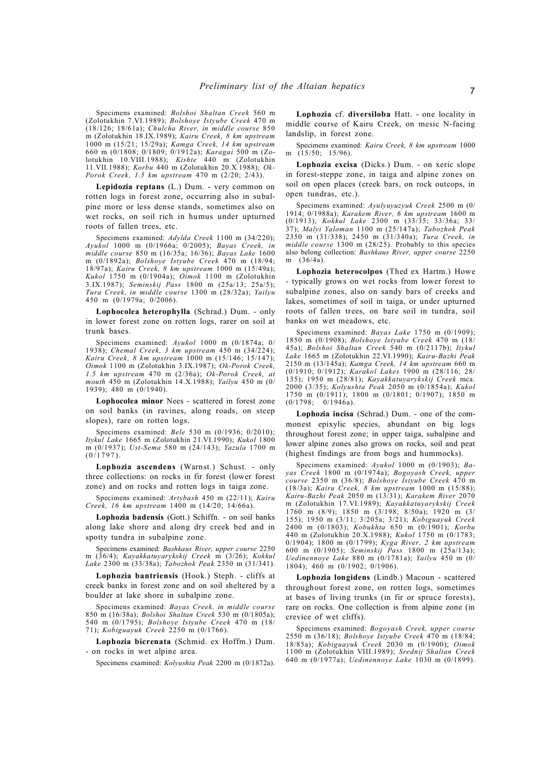Specimens examined: *Bolshoi Shaltan Creek* 560 m (Zolotukhin 7.VI.1989); *Bolshoye Istyube Creek* 470 m (18/126; 18/61a); *Chulcha River, in middle course* 850 m (Zolotukhin 18.IX.1989); *Kairu Creek, 8 km upstream* 1000 m (15/21; 15/29a); *Kamga Creek, 14 km upstream* 660 m (0/1808; 0/1809; 0/1912a); *Karagai* 500 m (Zolotukhin 10.VIII.1988); *Kishte* 440 m (Zolotukhin 11.VII.1988); *Korbu* 440 m (Zolotukhin 20.X.1988); *Ok-Porok Creek, 1.5 km upstream* 470 m (2/20; 2/43).

**Lepidozia reptans** (L.) Dum. - very common on rotten logs in forest zone, occurring also in subalpine more or less dense stands, sometimes also on wet rocks, on soil rich in humus under upturned roots of fallen trees, etc.

Specimens examined: *Adylda Creek* 1100 m (34/220); *Ayukol* 1000 m (0/1966a; 0/2005); *Bayas Creek, in middle course* 850 m (16/35a; 16/36); *Bayas Lake* 1600 m (0/1892a); *Bolshoye Istyube Creek* 470 m (18/94; 18/97a); *Kairu Creek, 8 km upstream* 1000 m (15/49a); *Kukol* 1750 m (0/1904a); *Oimok* 1100 m (Zolotukhin 3.IX.1987); *Seminskij Pass* 1800 m (25a/13; 25a/5); *Tura Creek, in middle course* 1300 m (28/32a); *Yailyu* 450 m (0/1979a; 0/2006).

**Lophocolea heterophylla** (Schrad.) Dum. - only in lower forest zone on rotten logs, rarer on soil at trunk bases.

Specimens examined: *Ayukol* 1000 m (0/1874a; 0/ 1938); *Chemal Creek, 3 km upstream* 450 m (34/224); *Kairu Creek, 8 km upstream* 1000 m (15/146; 15/147); *Oimok* 1100 m (Zolotukhin 3.IX.1987); *Ok-Porok Creek, 1.5 km upstream* 470 m (2/36a); *Ok-Porok Creek, at mouth* 450 m (Zolotukhin 14.X.1988); *Yailyu* 450 m (0/ 1939); 480 m (0/1940).

**Lophocolea minor** Nees - scattered in forest zone on soil banks (in ravines, along roads, on steep slopes), rare on rotten logs.

Specimens examined: *Bele* 530 m (0/1936; 0/2010); *Itykul Lake* 1665 m (Zolotukhin 21.VI.1990); *Kukol* 1800 m (0/1937); *Ust-Sema* 580 m (24/143); *Yazula* 1700 m  $(0/1797)$ .

**Lophozia ascendens** (Warnst.) Schust. - only three collections: on rocks in fir forest (lower forest zone) and on rocks and rotten logs in taiga zone.

Specimens examined: *Artybash* 450 m (22/11); *Kairu Creek, 16 km upstream* 1400 m (14/20; 14/66a).

**Lophozia badensis** (Gott.) Schiffn. - on soil banks along lake shore and along dry creek bed and in spotty tundra in subalpine zone.

Specimens examined: *Bashkaus River, upper course* 2250 m (36/4); *Kayakkatuyarykskij Creek* m (3/26); *Kokkul Lake* 2300 m (33/38a); *Tabozhok Peak* 2350 m (31/341).

**Lophozia bantriensis** (Hook.) Steph. - cliffs at creek banks in forest zone and on soil sheltered by a boulder at lake shore in subalpine zone.

Specimens examined: *Bayas Creek, in middle course* 850 m (16/38a); *Bolshoi Shaltan Creek* 530 m (0/1805a); 540 m (0/1795); *Bolshoye Istyube Creek* 470 m (18/ 71); *Kobiguayuk Creek* 2250 m (0/1766).

**Lophozia bicrenata** (Schmid. ex Hoffm.) Dum. - on rocks in wet alpine area.

Specimens examined: *Kolyushta Peak* 2200 m (0/1872a).

**Lophozia** cf. **diversiloba** Hatt. - one locality in middle course of Kairu Creek, on mesic N-facing landslip, in forest zone.

Specimens examined: *Kairu Creek, 8 km upstream* 1000 m  $(15/50; 15/96)$ .

**Lophozia excisa** (Dicks.) Dum. - on xeric slope in forest-steppe zone, in taiga and alpine zones on soil on open places (creek bars, on rock outcops, in open tundras, etc.).

Specimens examined: *Ayulyuyuzyuk Creek* 2500 m (0/ 1914; 0/1988a); *Karakem River, 6 km upstream* 1600 m (0/1913); *Kokkul Lake* 2300 m (33/35; 33/36a; 33/ 37); *Malyi Yaloman* 1100 m (25/147a); *Tabozhok Peak* 2350 m (31/338); 2450 m (31/340a); *Tura Creek, in middle course* 1300 m (28/25). Probably to this species also belong collection: *Bashkaus River, upper course* 2250 m (36/4a).

**Lophozia heterocolpos** (Thed ex Hartm.) Howe - typically grows on wet rocks from lower forest to subalpine zones, also on sandy bars of creeks and lakes, sometimes of soil in taiga, or under upturned roots of fallen trees, on bare soil in tundra, soil banks on wet meadows, etc.

Specimens examined: *Bayas Lake* 1750 m (0/1909); 1850 m (0/1908); *Bolshoye Istyube Creek* 470 m (18/ 45a); *Bolshoi Shaltan Creek* 540 m (0/2117b); *Itykul Lake* 1665 m (Zolotukhin 22.VI.1990); *Kairu-Bazhi Peak* 2150 m (13/145a); *Kamga Creek, 14 km upstream* 660 m (0/1910; 0/1912); *Karakol Lakes* 1900 m (28/116; 28/ 135); 1950 m (28/81); *Kayakkatuyarykskij Creek* mca. 2000 (3/35); *Kolyushta Peak* 2050 m (0/1854a); *Kukol* 1750 m (0/1911); 1800 m (0/1801; 0/1907); 1850 m  $(0/1798; 0/1946a)$ .

**Lophozia incisa** (Schrad.) Dum. - one of the commonest epixylic species, abundant on big logs throughout forest zone; in upper taiga, subalpine and lower alpine zones also grows on rocks, soil and peat (highest findings are from bogs and hummocks).

Specimens examined: *Ayukol* 1000 m (0/1903); *Bayas Creek* 1800 m (0/1974a); *Bogoyash Creek, upper course* 2350 m (36/8); *Bolshoye Istyube Creek* 470 m (18/3a); *Kairu Creek, 8 km upstream* 1000 m (15/88); *Kairu-Bazhi Peak* 2050 m (13/31); *Karakem River* 2070 m (Zolotukhin 17.VI.1989); *Kayakkatuyarykskij Creek* 1760 m (8/9); 1850 m (3/198; 8/50a); 1920 m (3/ 155); 1950 m (3/11; 3/205a; 3/21); *Kobiguayuk Creek* 2400 m (0/1803); *Kobukhta* 650 m (0/1901); *Korbu* 440 m (Zolotukhin 20.X.1988); *Kukol* 1750 m (0/1783; 0/1904); 1800 m (0/1799); *Kyga River, 2 km upstream* 600 m (0/1905); *Seminskij Pass* 1800 m (25a/13a); *Uedinennoye Lake* 880 m (0/1781a); *Yailyu* 450 m (0/ 1804); 460 m (0/1902; 0/1906).

**Lophozia longidens** (Lindb.) Macoun - scattered throughout forest zone, on rotten logs, sometimes at bases of living trunks (in fir or spruce forests), rare on rocks. One collection is from alpine zone (in crevice of wet cliffs).

Specimens examined: *Bogoyash Creek, upper course* 2550 m (36/18); *Bolshoye Istyube Creek* 470 m (18/84; 18/85a); *Kobiguayuk Creek* 2030 m (0/1900); *Oimok* 1100 m (Zolotukhin VIII.1989); *Srednij Shaltan Creek* 640 m (0/1977a); *Uedinennoye Lake* 1030 m (0/1899).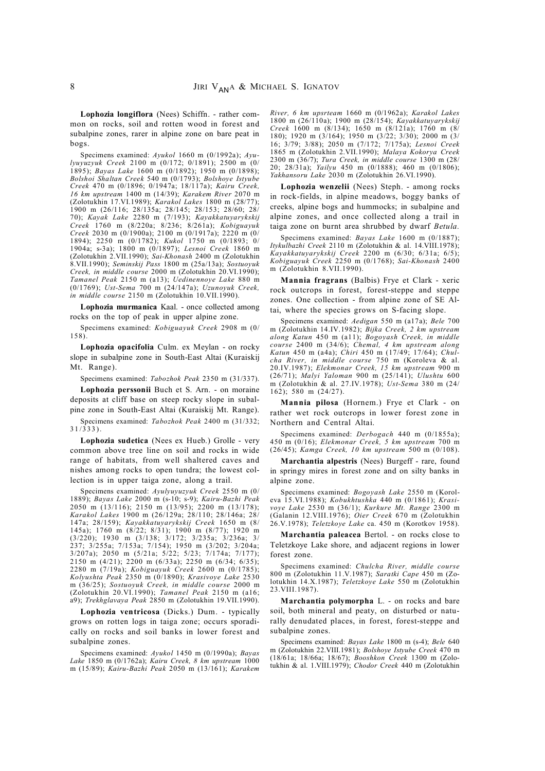**Lophozia longiflora** (Nees) Schiffn. - rather common on rocks, soil and rotten wood in forest and subalpine zones, rarer in alpine zone on bare peat in bogs.

Specimens examined: *Ayukol* 1660 m (0/1992a); *Ayulyuyuzyuk Creek* 2100 m (0/172; 0/1891); 2500 m (0/ 1895); *Bayas Lake* 1600 m (0/1892); 1950 m (0/1898); *Bolshoi Shaltan Creek* 540 m (0/1793); *Bolshoye Istyube Creek* 470 m (0/1896; 0/1947a; 18/117a); *Kairu Creek, 16 km upstream* 1400 m (14/39); *Karakem River* 2070 m (Zolotukhin 17.VI.1989); *Karakol Lakes* 1800 m (28/77); 1900 m (26/116; 28/135a; 28/145; 28/153; 28/60; 28/ 70); *Kayak Lake* 2280 m (7/193); *Kayakkatuyarykskij Creek* 1760 m (8/220a; 8/236; 8/261a); *Kobiguayuk Creek* 2030 m (0/1900a); 2100 m (0/1917a); 2220 m (0/ 1894); 2250 m (0/1782); *Kukol* 1750 m (0/1893; 0/ 1904a; s-3a); 1800 m (0/1897); *Lesnoi Creek* 1860 m (Zolotukhin 2.VII.1990); *Sai-Khonash* 2400 m (Zolotukhin 8.VII.1990); *Seminskij Pass* 1800 m (25a/13a); *Sostuoyuk Creek, in middle course* 2000 m (Zolotukhin 20.VI.1990); *Tamanel Peak* 2150 m (a13); *Uedinennoye Lake* 880 m (0/1769); *Ust-Sema* 700 m (24/147a); *Uzunoyuk Creek, in middle course* 2150 m (Zolotukhin 10.VII.1990).

**Lophozia murmanica** Kaal. - once collected among rocks on the top of peak in upper alpine zone.

Specimens examined: *Kobiguayuk Creek* 2908 m (0/ 158).

**Lophozia opacifolia** Culm. ex Meylan - on rocky slope in subalpine zone in South-East Altai (Kuraiskij Mt. Range).

Specimens examined: *Tabozhok Peak* 2350 m (31/337).

**Lophozia perssonii** Buch et S. Arn. - on moraine deposits at cliff base on steep rocky slope in subalpine zone in South-East Altai (Kuraiskij Mt. Range). Specimens examined: *Tabozhok Peak* 2400 m (31/332;

 $31/333$ .

**Lophozia sudetica** (Nees ex Hueb.) Grolle - very common above tree line on soil and rocks in wide range of habitats, from well shaltered caves and nishes among rocks to open tundra; the lowest collection is in upper taiga zone, along a trail.

Specimens examined: *Ayulyuyuzyuk Creek* 2550 m (0/ 1889); *Bayas Lake* 2000 m (s-10; s-9); *Kairu-Bazhi Peak* 2050 m (13/116); 2150 m (13/95); 2200 m (13/178); *Karakol Lakes* 1900 m (26/129a; 28/110; 28/146a; 28/ 147a; 28/159); *Kayakkatuyarykskij Creek* 1650 m (8/ 145a); 1760 m (8/22; 8/31); 1900 m (8/77); 1920 m (3/220); 1930 m (3/138; 3/172; 3/235a; 3/236a; 3/ 237; 3/255a; 7/153a; 7/154); 1950 m (3/202; 3/204a; 3/207a); 2050 m (5/21a; 5/22; 5/23; 7/174a; 7/177); 2150 m (4/21); 2200 m (6/33a); 2250 m (6/34; 6/35); 2280 m (7/19a); *Kobiguayuk Creek* 2600 m (0/1785); *Kolyushta Peak* 2350 m (0/1890); *Krasivoye Lake* 2530 m (36/25); *Sostuoyuk Creek, in middle course* 2000 m (Zolotukhin 20.VI.1990); *Tamanel Peak* 2150 m (a16; a9); *Trekhglavaya Peak* 2850 m (Zolotukhin 19.VII.1990).

**Lophozia ventricosa** (Dicks.) Dum. - typically grows on rotten logs in taiga zone; occurs sporadically on rocks and soil banks in lower forest and subalpine zones.

Specimens examined: *Ayukol* 1450 m (0/1990a); *Bayas Lake* 1850 m (0/1762a); *Kairu Creek, 8 km upstream* 1000 m (15/89); *Kairu-Bazhi Peak* 2050 m (13/161); *Karakem* *River, 6 km upsrteam* 1660 m (0/1962a); *Karakol Lakes* 1800 m (26/110a); 1900 m (28/154); *Kayakkatuyarykskij Creek* 1600 m (8/134); 1650 m (8/121a); 1760 m (8/ 180); 1920 m (3/164); 1950 m (3/22; 3/30); 2000 m (3/ 16; 3/79; 3/88); 2050 m (7/172; 7/175a); *Lesnoi Creek* 1865 m (Zolotukhin 2.VII.1990); *Malaya Kokorya Creek* 2300 m (36/7); *Tura Creek, in middle course* 1300 m (28/ 20; 28/31a); *Yailyu* 450 m (0/1888); 460 m (0/1806); *Yakhansoru Lake* 2030 m (Zolotukhin 26.VI.1990).

**Lophozia wenzelii** (Nees) Steph. - among rocks in rock-fields, in alpine meadows, boggy banks of creeks, alpine bogs and hummocks; in subalpine and alpine zones, and once collected along a trail in taiga zone on burnt area shrubbed by dwarf *Betula.*

Specimens examined: *Bayas Lake* 1600 m (0/1887); *Itykulbazhi Creek* 2110 m (Zolotukhin & al. 14.VIII.1978); *Kayakkatuyarykskij Creek* 2200 m (6/30; 6/31a; 6/5); *Kobiguayuk Creek* 2250 m (0/1768); *Sai-Khonash* 2400 m (Zolotukhin 8.VII.1990).

**Mannia fragrans** (Balbis) Frye et Clark - xeric rock outcrops in forest, forest-steppe and steppe zones. One collection - from alpine zone of SE Altai, where the species grows on S-facing slope.

Specimens examined: *Aedigan* 550 m (a17a); *Bele* 700 m (Zolotukhin 14.IV.1982); *Bijka Creek, 2 km upstream along Katun* 450 m (a11); *Bogoyash Creek, in middle course* 2400 m (34/6); *Chemal, 4 km upstream along Katun* 450 m (a4a); *Chiri* 450 m (17/49; 17/64); *Chulcha River, in middle course* 750 m (Koroleva & al. 20.IV.1987); *Elekmonar Creek, 15 km upstream* 900 m (26/71); *Malyi Yaloman* 900 m (25/141); *Ulushtu* 600 m (Zolotukhin & al. 27.IV.1978); *Ust-Sema* 380 m (24/ 162); 580 m (24/27).

**Mannia pilosa** (Hornem.) Frye et Clark - on rather wet rock outcrops in lower forest zone in Northern and Central Altai.

Specimens examined: *Derbogach* 440 m (0/1855a); 450 m (0/16); *Elekmonar Creek, 5 km upstream* 700 m (26/45); *Kamga Creek, 10 km upstream* 500 m (0/108).

**Marchantia alpestris** (Nees) Burgeff - rare, found in springy mires in forest zone and on silty banks in alpine zone.

Specimens examined: *Bogoyash Lake* 2550 m (Koroleva 15.VI.1988); *Kobukhtushka* 440 m (0/1861); *Krasivoye Lake* 2530 m (36/1); *Kurkure Mt. Range* 2300 m (Galanin 12.VIII.1976); *Oier Creek* 670 m (Zolotukhin 26.V.1978); *Teletzkoye Lake* ca. 450 m (Korotkov 1958).

**Marchantia paleacea** Bertol. - on rocks close to Teletzkoye Lake shore, and adjacent regions in lower forest zone.

Specimens examined: *Chulcha River, middle course* 800 m (Zolotukhin 11.V.1987); *Saratki Cape* 450 m (Zolotukhin 14.X.1987); *Teletzkoye Lake* 550 m (Zolotukhin 23.VIII.1987).

**Marchantia polymorpha** L. - on rocks and bare soil, both mineral and peaty, on disturbed or naturally denudated places, in forest, forest-steppe and subalpine zones.

Specimens examined: *Bayas Lake* 1800 m (s-4); *Bele* 640 m (Zolotukhin 22.VIII.1981); *Bolshoye Istyube Creek* 470 m (18/61a; 18/66a; 18/67); *Booshkon Creek* 1300 m (Zolotukhin & al. 1.VIII.1979); *Chodor Creek* 440 m (Zolotukhin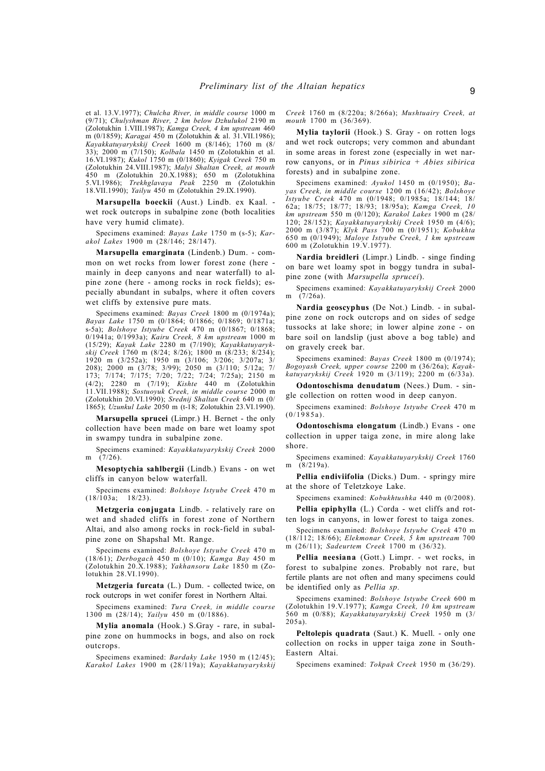et al. 13.V.1977); *Chulcha River, in middle course* 1000 m (9/71); *Chulyshman River, 2 km below Dzhulukol* 2190 m (Zolotukhin 1.VIII.1987); *Kamga Creek, 4 km upstream* 460 m (0/1859); *Karagai* 450 m (Zolotukhin & al. 31.VII.1986); *Kayakkatuyarykskij Creek* 1600 m (8/146); 1760 m (8/ 33); 2000 m (7/150); *Kolbala* 1450 m (Zolotukhin et al. 16.VI.1987); *Kukol* 1750 m (0/1860); *Kyigak Creek* 750 m (Zolotukhin 24.VIII.1987); *Malyi Shaltan Creek, at mouth* 450 m (Zolotukhin 20.X.1988); 650 m (Zolotukhina 5.VI.1986); *Trekhglavaya Peak* 2250 m (Zolotukhin 18.VII.1990); *Yailyu* 450 m (Zolotukhin 29.IX.1990).

**Marsupella boeckii** (Aust.) Lindb. ex Kaal. wet rock outcrops in subalpine zone (both localities have very humid climate).

Specimens examined: *Bayas Lake* 1750 m (s-5); *Karakol Lakes* 1900 m (28/146; 28/147).

**Marsupella emarginata** (Lindenb.) Dum. - common on wet rocks from lower forest zone (here mainly in deep canyons and near waterfall) to alpine zone (here - among rocks in rock fields); especially abundant in subalps, where it often covers wet cliffs by extensive pure mats.

Specimens examined: *Bayas Creek* 1800 m (0/1974a); *Bayas Lake* 1750 m (0/1864; 0/1866; 0/1869; 0/1871a; s-5a); *Bolshoye Istyube Creek* 470 m (0/1867; 0/1868; 0/1941a; 0/1993a); *Kairu Creek, 8 km upstream* 1000 m (15/29); *Kayak Lake* 2280 m (7/190); *Kayakkatuyarykskij Creek* 1760 m (8/24; 8/26); 1800 m (8/233; 8/234); 1920 m (3/252a); 1950 m (3/106; 3/206; 3/207a; 3/ 208); 2000 m (3/78; 3/99); 2050 m (3/110; 5/12a; 7/ 173; 7/174; 7/175; 7/20; 7/22; 7/24; 7/25a); 2150 m (4/2); 2280 m (7/19); *Kishte* 440 m (Zolotukhin 11.VII.1988); *Sostuoyuk Creek, in middle course* 2000 m (Zolotukhin 20.VI.1990); *Srednij Shaltan Creek* 640 m (0/ 1865); *Uzunkul Lake* 2050 m (t-18; Zolotukhin 23.VI.1990).

**Marsupella sprucei** (Limpr.) H. Bernet - the only collection have been made on bare wet loamy spot in swampy tundra in subalpine zone.

Specimens examined: *Kayakkatuyarykskij Creek* 2000 m (7/26).

**Mesoptychia sahlbergii** (Lindb.) Evans - on wet cliffs in canyon below waterfall.

Specimens examined: *Bolshoye Istyube Creek* 470 m  $(18/\overline{1}03a; 18/23).$ 

**Metzgeria conjugata** Lindb. - relatively rare on wet and shaded cliffs in forest zone of Northern Altai, and also among rocks in rock-field in subalpine zone on Shapshal Mt. Range.

Specimens examined: *Bolshoye Istyube Creek* 470 m (18/61); *Derbogach* 450 m (0/10); *Kamga Bay* 450 m (Zolotukhin 20.X.1988); *Yakhansoru Lake* 1850 m (Zolotukhin 28.VI.1990).

**Metzgeria furcata** (L.) Dum. - collected twice, on rock outcrops in wet conifer forest in Northern Altai.

Specimens examined: *Tura Creek, in middle course* 1300 m (28/14); *Yailyu* 450 m (0/1886).

**Mylia anomala** (Hook.) S.Gray - rare, in subalpine zone on hummocks in bogs, and also on rock outcrops.

Specimens examined: *Bardaky Lake* 1950 m (12/45); *Karakol Lakes* 1900 m (28/119a); *Kayakkatuyarykskij* *Creek* 1760 m (8/220a; 8/266a); *Mushtuairy Creek, at mouth* 1700 m (36/369).

**Mylia taylorii** (Hook.) S. Gray - on rotten logs and wet rock outcrops; very common and abundant in some areas in forest zone (especially in wet narrow canyons, or in *Pinus sibirica + Abies sibirica* forests) and in subalpine zone.

Specimens examined: *Ayukol* 1450 m (0/1950); *Bayas Creek, in middle course* 1200 m (16/42); *Bolshoye Istyube Creek* 470 m (0/1948; 0/1985a; 18/144; 18/ 62a; 18/75; 18/77; 18/93; 18/95a); *Kamga Creek, 10 km upstream* 550 m (0/120); *Karakol Lakes* 1900 m (28/ 120; 28/152); *Kayakkatuyarykskij Creek* 1950 m (4/6); 2000 m (3/87); *Klyk Pass* 700 m (0/1951); *Kobukhta* 650 m (0/1949); *Maloye Istyube Creek, 1 km upstream* 600 m (Zolotukhin 19.V.1977).

**Nardia breidleri** (Limpr.) Lindb. - singe finding on bare wet loamy spot in boggy tundra in subalpine zone (with *Marsupella sprucei*).

Specimens examined: *Kayakkatuyarykskij Creek* 2000 m  $(7/26a)$ .

**Nardia geoscyphus** (De Not.) Lindb. - in subalpine zone on rock outcrops and on sides of sedge tussocks at lake shore; in lower alpine zone - on bare soil on landslip (just above a bog table) and on gravely creek bar.

Specimens examined: *Bayas Creek* 1800 m (0/1974); *Bogoyash Creek, upper course* 2200 m (36/26a); *Kayakkatuyarykskij Creek* 1920 m (3/119); 2200 m (6/33a).

**Odontoschisma denudatum** (Nees.) Dum. - single collection on rotten wood in deep canyon.

Specimens examined: *Bolshoye Istyube Creek* 470 m  $(0/1985a)$ .

**Odontoschisma elongatum** (Lindb.) Evans - one collection in upper taiga zone, in mire along lake shore.

Specimens examined: *Kayakkatuyarykskij Creek* 1760 m (8/219a).

**Pellia endiviifolia** (Dicks.) Dum. - springy mire at the shore of Teletzkoye Lake.

Specimens examined: *Kobukhtushka* 440 m (0/2008).

**Pellia epiphylla** (L.) Corda - wet cliffs and rotten logs in canyons, in lower forest to taiga zones.

Specimens examined: *Bolshoye Istyube Creek* 470 m (18/112; 18/66); *Elekmonar Creek, 5 km upstream* 700 m (26/11); *Sadeurtem Creek* 1700 m (36/32).

**Pellia neesiana** (Gott.) Limpr. - wet rocks, in forest to subalpine zones. Probably not rare, but fertile plants are not often and many specimens could be identified only as *Pellia sp.*

Specimens examined: *Bolshoye Istyube Creek* 600 m (Zolotukhin 19.V.1977); *Kamga Creek, 10 km upstream* 560 m (0/88); *Kayakkatuyarykskij Creek* 1950 m (3/ 205a).

**Peltolepis quadrata** (Saut.) K. Muell. - only one collection on rocks in upper taiga zone in South-Eastern Altai.

Specimens examined: *Tokpak Creek* 1950 m (36/29).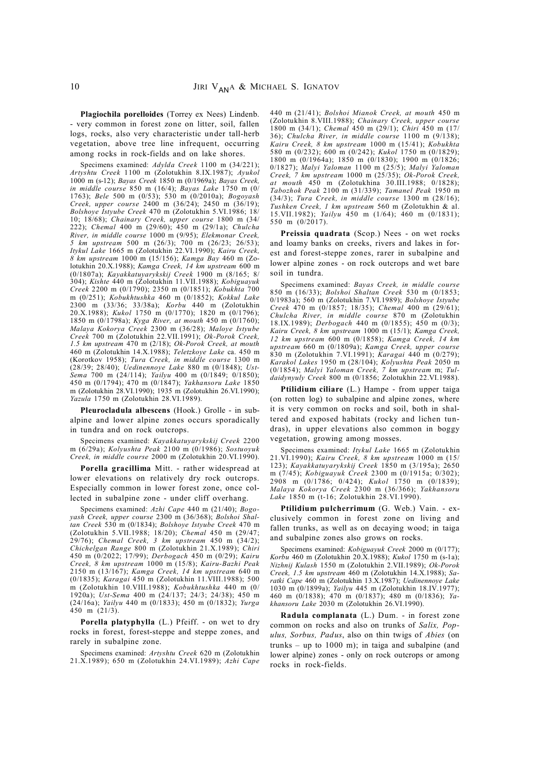**Plagiochila porelloides** (Torrey ex Nees) Lindenb. - very common in forest zone on litter, soil, fallen logs, rocks, also very characteristic under tall-herb vegetation, above tree line infrequent, occurring among rocks in rock-fields and on lake shores.

Specimens examined: *Adylda Creek* 1100 m (34/221); *Artyshtu Creek* 1100 m (Zolotukhin 8.IX.1987); *Ayukol* 1000 m (s-12); *Bayas Creek* 1850 m (0/1969a); *Bayas Creek, in middle course* 850 m (16/4); *Bayas Lake* 1750 m (0/ 1763); *Bele* 500 m (0/53); 530 m (0/2010a); *Bogoyash Creek, upper course* 2400 m (36/24); 2450 m (36/19); *Bolshoye Istyube Creek* 470 m (Zolotukhin 5.VI.1986; 18/ 10; 18/68); *Chainary Creek, upper course* 1800 m (34/ 222); *Chemal* 400 m (29/60); 450 m (29/1a); *Chulcha River, in middle course* 1000 m (9/95); *Elekmonar Creek, 5 km upstream* 500 m (26/3); 700 m (26/23; 26/53); *Itykul Lake* 1665 m (Zolotukhin 22.VI.1990); *Kairu Creek, 8 km upstream* 1000 m (15/156); *Kamga Bay* 460 m (Zolotukhin 20.X.1988); *Kamga Creek, 14 km upstream* 600 m (0/1807a); *Kayakkatuyarykskij Creek* 1900 m (8/165; 8/ 304); *Kishte* 440 m (Zolotukhin 11.VII.1988); *Kobiguayuk Creek* 2200 m (0/1790); 2350 m (0/1851); *Kobukhta* 700 m (0/251); *Kobukhtushka* 460 m (0/1852); *Kokkul Lake* 2300 m (33/36; 33/38a); *Korbu* 440 m (Zolotukhin 20.X.1988); *Kukol* 1750 m (0/1770); 1820 m (0/1796); 1850 m (0/1798a); *Kyga River, at mouth* 450 m (0/1760); *Malaya Kokorya Creek* 2300 m (36/28); *Maloye Istyube Creek* 700 m (Zolotukhin 22.VII.1991); *Ok-Porok Creek, 1.5 km upstream* 470 m (2/18); *Ok-Porok Creek, at mouth* 460 m (Zolotukhin 14.X.1988); *Teletzkoye Lake* ca. 450 m (Korotkov 1958); *Tura Creek, in middle course* 1300 m (28/39; 28/40); *Uedinennoye Lake* 880 m (0/1848); *Ust-Sema* 700 m (24/114); *Yailyu* 400 m (0/1849; 0/1850); 450 m (0/1794); 470 m (0/1847); *Yakhansoru Lake* 1850 m (Zolotukhin 28.VI.1990); 1935 m (Zolotukhin 26.VI.1990); *Yazula* 1750 m (Zolotukhin 28.VI.1989).

**Pleurocladula albescens** (Hook.) Grolle - in subalpine and lower alpine zones occurs sporadically in tundra and on rock outcrops.

Specimens examined: *Kayakkatuyarykskij Creek* 2200 m (6/29a); *Kolyushta Peak* 2100 m (0/1986); *Sostuoyuk Creek, in middle course* 2000 m (Zolotukhin 20.VI.1990).

**Porella gracillima** Mitt. - rather widespread at lower elevations on relatively dry rock outcrops. Especially common in lower forest zone, once collected in subalpine zone - under cliff overhang.

Specimens examined: *Azhi Cape* 440 m (21/40); *Bogoyash Creek, upper course* 2300 m (36/368); *Bolshoi Shaltan Creek* 530 m (0/1834); *Bolshoye Istyube Creek* 470 m (Zolotukhin 5.VII.1988; 18/20); *Chemal* 450 m (29/47; 29/76); *Chemal Creek, 3 km upstream* 450 m (34/2); *Chichelgan Range* 800 m (Zolotukhin 21.X.1989); *Chiri* 450 m (0/2022; 17/99); *Derbogach* 450 m (0/29); *Kairu Creek, 8 km upstream* 1000 m (15/8); *Kairu-Bazhi Peak* 2150 m (13/167); *Kamga Creek, 14 km upstream* 640 m (0/1835); *Karagai* 450 m (Zolotukhin 11.VIII.1988); 500 m (Zolotukhin 10.VIII.1988); *Kobukhtushka* 440 m (0/ 1920a); *Ust-Sema* 400 m (24/137; 24/3; 24/38); 450 m (24/16a); *Yailyu* 440 m (0/1833); 450 m (0/1832); *Yurga* 450 m (21/3).

**Porella platyphylla** (L.) Pfeiff. - on wet to dry rocks in forest, forest-steppe and steppe zones, and rarely in subalpine zone.

Specimens examined: *Artyshtu Creek* 620 m (Zolotukhin 21.X.1989); 650 m (Zolotukhin 24.VI.1989); *Azhi Cape*

440 m (21/41); *Bolshoi Mianok Creek, at mouth* 450 m (Zolotukhin 8.VIII.1988); *Chainary Creek, upper course* 1800 m (34/1); *Chemal* 450 m (29/1); *Chiri* 450 m (17/ 36); *Chulcha River, in middle course* 1100 m (9/138); *Kairu Creek, 8 km upstream* 1000 m (15/41); *Kobukhta* 580 m (0/232); 600 m (0/242); *Kukol* 1750 m (0/1829); 1800 m (0/1964a); 1850 m (0/1830); 1900 m (0/1826; 0/1827); *Malyi Yaloman* 1100 m (25/5); *Malyi Yaloman Creek, 7 km upstream* 1000 m (25/35); *Ok-Porok Creek, at mouth* 450 m (Zolotukhina 30.III.1988; 0/1828); *Tabozhok Peak* 2100 m (31/339); *Tamanel Peak* 1950 m (34/3); *Tura Creek, in middle course* 1300 m (28/16); *Tushken Creek, 1 km upstream* 560 m (Zolotukhin & al. 15.VII.1982); *Yailyu* 450 m (1/64); 460 m (0/1831); 550 m (0/2017).

**Preissia quadrata** (Scop.) Nees - on wet rocks and loamy banks on creeks, rivers and lakes in forest and forest-steppe zones, rarer in subalpine and lower alpine zones - on rock outcrops and wet bare soil in tundra.

Specimens examined: *Bayas Creek, in middle course* 850 m (16/33); *Bolshoi Shaltan Creek* 530 m (0/1853; 0/1983a); 560 m (Zolotukhin 7.VI.1989); *Bolshoye Istyube Creek* 470 m (0/1857; 18/35); *Chemal* 400 m (29/61); *Chulcha River, in middle course* 870 m (Zolotukhin 18.IX.1989); *Derbogach* 440 m (0/1855); 450 m (0/3); *Kairu Creek, 8 km upstream* 1000 m (15/1); *Kamga Creek, 12 km upstream* 600 m (0/1858); *Kamga Creek, 14 km upstream* 660 m (0/1809a); *Kamga Creek, upper course* 830 m (Zolotukhin 7.VI.1991); *Karagai* 440 m (0/279); *Karakol Lakes* 1950 m (28/104); *Kolyushta Peak* 2050 m (0/1854); *Malyi Yaloman Creek, 7 km upstream* m; *Tuldaidynyuly Creek* 800 m (0/1856; Zolotukhin 22.VI.1988).

**Ptilidium ciliare** (L.) Hampe - from upper taiga (on rotten log) to subalpine and alpine zones, where it is very common on rocks and soil, both in shaltered and exposed habitats (rocky and lichen tundras), in upper elevations also common in boggy vegetation, growing among mosses.

Specimens examined: *Itykul Lake* 1665 m (Zolotukhin 21.VI.1990); *Kairu Creek, 8 km upstream* 1000 m (15/ 123); *Kayakkatuyarykskij Creek* 1850 m (3/195a); 2650 m (7/45); *Kobiguayuk Creek* 2300 m (0/1915a; 0/302); 2908 m (0/1786; 0/424); *Kukol* 1750 m (0/1839); *Malaya Kokorya Creek* 2300 m (36/366); *Yakhansoru Lake* 1850 m (t-16; Zolotukhin 28.VI.1990).

**Ptilidium pulcherrimum** (G. Web.) Vain. - exclusively common in forest zone on living and fallen trunks, as well as on decaying wood; in taiga and subalpine zones also grows on rocks.

Specimens examined: *Kobiguayuk Creek* 2000 m (0/177); *Korbu* 460 m (Zolotukhin 20.X.1988); *Kukol* 1750 m (s-1a); *Nizhnij Kulash* 1550 m (Zolotukhin 2.VII.1989); *Ok-Porok Creek, 1.5 km upstream* 460 m (Zolotukhin 14.X.1988); *Saratki Cape* 460 m (Zolotukhin 13.X.1987); *Uedinennoye Lake* 1030 m (0/1899a); *Yailyu* 445 m (Zolotukhin 18.IV.1977); 460 m (0/1838); 470 m (0/1837); 480 m (0/1836); *Yakhansoru Lake* 2030 m (Zolotukhin 26.VI.1990).

**Radula complanata** (L.) Dum. - in forest zone common on rocks and also on trunks of *Salix, Populus, Sorbus, Padus*, also on thin twigs of *Abies* (on trunks – up to  $1000$  m); in taiga and subalpine (and lower alpine) zones - only on rock outcrops or among rocks in rock-fields.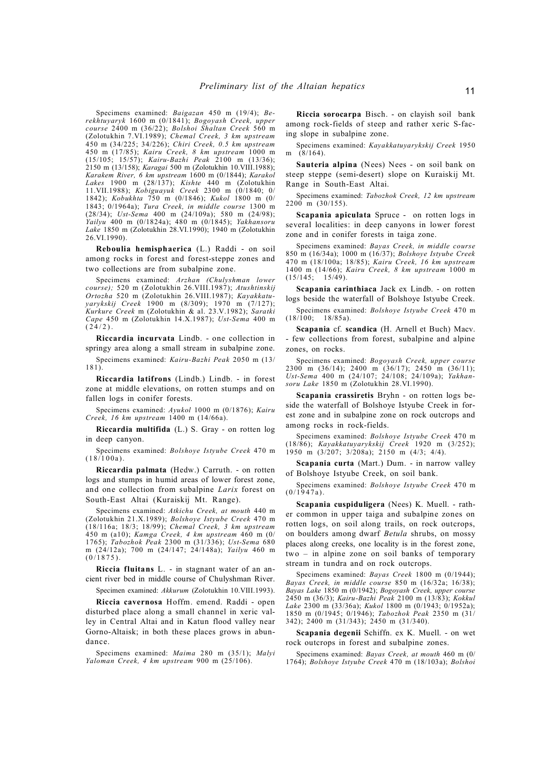Specimens examined: *Baigazan* 450 m (19/4); *Berekhtuyaryk* 1600 m (0/1841); *Bogoyash Creek, upper course* 2400 m (36/22); *Bolshoi Shaltan Creek* 560 m (Zolotukhin 7.VI.1989); *Chemal Creek, 3 km upstream* 450 m (34/225; 34/226); *Chiri Creek, 0.5 km upstream* 450 m (17/85); *Kairu Creek, 8 km upstream* 1000 m (15/105; 15/57); *Kairu-Bazhi Peak* 2100 m (13/36); 2150 m (13/158); *Karagai* 500 m (Zolotukhin 10.VIII.1988); *Karakem River, 6 km upstream* 1600 m (0/1844); *Karakol Lakes* 1900 m (28/137); *Kishte* 440 m (Zolotukhin 11.VII.1988); *Kobiguayuk Creek* 2300 m (0/1840; 0/ 1842); *Kobukhta* 750 m (0/1846); *Kukol* 1800 m (0/ 1843; 0/1964a); *Tura Creek, in middle course* 1300 m (28/34); *Ust-Sema* 400 m (24/109a); 580 m (24/98); *Yailyu* 400 m (0/1824a); 480 m (0/1845); *Yakhansoru Lake* 1850 m (Zolotukhin 28.VI.1990); 1940 m (Zolotukhin 26.VI.1990).

**Reboulia hemisphaerica** (L.) Raddi - on soil among rocks in forest and forest-steppe zones and two collections are from subalpine zone.

Specimens examined: *Arzhan (Chulyshman lower course);* 520 m (Zolotukhin 26.VIII.1987); *Atushtinskij Ortozha* 520 m (Zolotukhin 26.VIII.1987); *Kayakkatuyarykskij Creek* 1900 m (8/309); 1970 m (7/127); *Kurkure Creek* m (Zolotukhin & al. 23.V.1982); *Saratki Cape* 450 m (Zolotukhin 14.X.1987); *Ust-Sema* 400 m  $(24/2)$ .

**Riccardia incurvata** Lindb. - one collection in springy area along a small stream in subalpine zone.

Specimens examined: *Kairu-Bazhi Peak* 2050 m (13/ 181).

**Riccardia latifrons** (Lindb.) Lindb. - in forest zone at middle elevations, on rotten stumps and on fallen logs in conifer forests.

Specimens examined: *Ayukol* 1000 m (0/1876); *Kairu Creek, 16 km upstream* 1400 m (14/66a).

**Riccardia multifida** (L.) S. Gray - on rotten log in deep canyon.

Specimens examined: *Bolshoye Istyube Creek* 470 m  $(18/100a)$ .

**Riccardia palmata** (Hedw.) Carruth. - on rotten logs and stumps in humid areas of lower forest zone, and one collection from subalpine *Larix* forest on South-East Altai (Kuraiskij Mt. Range).

Specimens examined: *Atkichu Creek, at mouth* 440 m (Zolotukhin 21.X.1989); *Bolshoye Istyube Creek* 470 m (18/116a; 18/3; 18/99); *Chemal Creek, 3 km upstream* 450 m (a10); *Kamga Creek, 4 km upstream* 460 m (0/ 1765); *Tabozhok Peak* 2300 m (31/336); *Ust-Sema* 680 m (24/12a); 700 m (24/147; 24/148a); *Yailyu* 460 m  $(0/1875)$ .

**Riccia fluitans** L. - in stagnant water of an ancient river bed in middle course of Chulyshman River.

Specimen examined: *Akkurum* (Zolotukhin 10.VIII.1993).

**Riccia cavernosa** Hoffm. emend. Raddi - open disturbed place along a small channel in xeric valley in Central Altai and in Katun flood valley near Gorno-Altaisk; in both these places grows in abundance.

Specimens examined: *Maima* 280 m (35/1); *Malyi Yaloman Creek, 4 km upstream* 900 m (25/106).

**Riccia sorocarpa** Bisch. - on clayish soil bank among rock-fields of steep and rather xeric S-facing slope in subalpine zone.

Specimens examined: *Kayakkatuyarykskij Creek* 1950 m (8/164).

**Sauteria alpina** (Nees) Nees - on soil bank on steep steppe (semi-desert) slope on Kuraiskij Mt. Range in South-East Altai.

Specimens examined: *Tabozhok Creek, 12 km upstream*  $2200 \text{ m}$  (30/155).

**Scapania apiculata** Spruce - on rotten logs in several localities: in deep canyons in lower forest zone and in conifer forests in taiga zone.

Specimens examined: *Bayas Creek, in middle course* 850 m (16/34a); 1000 m (16/37); *Bolshoye Istyube Creek* 470 m (18/100a; 18/85); *Kairu Creek, 16 km upstream* 1400 m (14/66); *Kairu Creek, 8 km upstream* 1000 m  $(15/145)$ ;

**Scapania carinthiaca** Jack ex Lindb. - on rotten logs beside the waterfall of Bolshoye Istyube Creek.

Specimens examined: *Bolshoye Istyube Creek* 470 m  $(18/100)$  18/85a).

**Scapania** cf. **scandica** (H. Arnell et Buch) Macv. - few collections from forest, subalpine and alpine zones, on rocks.

Specimens examined: *Bogoyash Creek, upper course* 2300 m (36/14); 2400 m (36/17); 2450 m (36/11); *Ust-Sema* 400 m (24/107; 24/108; 24/109a); *Yakhansoru Lake* 1850 m (Zolotukhin 28.VI.1990).

**Scapania crassiretis** Bryhn - on rotten logs beside the waterfall of Bolshoye Istyube Creek in forest zone and in subalpine zone on rock outcrops and among rocks in rock-fields.

Specimens examined: *Bolshoye Istyube Creek* 470 m (18/86); *Kayakkatuyarykskij Creek* 1920 m (3/252); 1950 m  $(3/207; 3/208a); 2150$  m  $(4/3; 4/4).$ 

**Scapania curta** (Mart.) Dum. - in narrow valley of Bolshoye Istyube Creek, on soil bank.

Specimens examined: *Bolshoye Istyube Creek* 470 m  $(0/1947a)$ .

**Scapania cuspiduligera** (Nees) K. Muell. - rather common in upper taiga and subalpine zones on rotten logs, on soil along trails, on rock outcrops, on boulders among dwarf *Betula* shrubs, on mossy places along creeks, one locality is in the forest zone, two – in alpine zone on soil banks of temporary stream in tundra and on rock outcrops.

Specimens examined: *Bayas Creek* 1800 m (0/1944); *Bayas Creek, in middle course* 850 m (16/32a; 16/38); *Bayas Lake* 1850 m (0/1942); *Bogoyash Creek, upper course* 2450 m (36/3); *Kairu-Bazhi Peak* 2100 m (13/83); *Kokkul Lake* 2300 m (33/36a); *Kukol* 1800 m (0/1943; 0/1952a); 1850 m (0/1945; 0/1946); *Tabozhok Peak* 2350 m (31/ 342); 2400 m (31/343); 2450 m (31/340).

**Scapania degenii** Schiffn. ex K. Muell. - on wet rock outcrops in forest and subalpine zones.

Specimens examined: *Bayas Creek, at mouth* 460 m (0/ 1764); *Bolshoye Istyube Creek* 470 m (18/103a); *Bolshoi*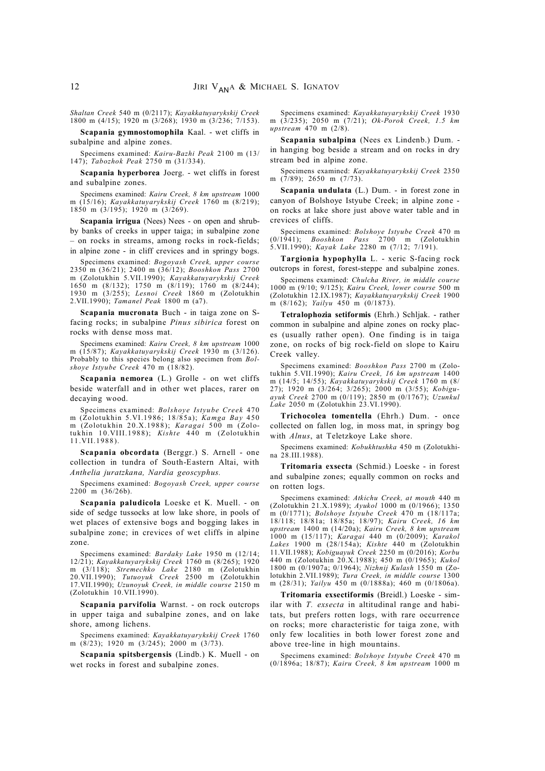*Shaltan Creek* 540 m (0/2117); *Kayakkatuyarykskij Creek* 1800 m (4/15); 1920 m (3/268); 1930 m (3/236; 7/153).

**Scapania gymnostomophila** Kaal. - wet cliffs in subalpine and alpine zones.

Specimens examined: *Kairu-Bazhi Peak* 2100 m (13/ 147); *Tabozhok Peak* 2750 m (31/334).

**Scapania hyperborea** Joerg. - wet cliffs in forest and subalpine zones.

Specimens examined: *Kairu Creek, 8 km upstream* 1000 m (15/16); *Kayakkatuyarykskij Creek* 1760 m (8/219); 1850 m (3/195); 1920 m (3/269).

**Scapania irrigua** (Nees) Nees - on open and shrubby banks of creeks in upper taiga; in subalpine zone – on rocks in streams, among rocks in rock-fields; in alpine zone - in cliff crevices and in springy bogs.

Specimens examined: *Bogoyash Creek, upper course* 2350 m (36/21); 2400 m (36/12); *Booshkon Pass* 2700 m (Zolotukhin 5.VII.1990); *Kayakkatuyarykskij Creek* 1650 m (8/132); 1750 m (8/119); 1760 m (8/244); 1930 m (3/255); *Lesnoi Creek* 1860 m (Zolotukhin 2.VII.1990); *Tamanel Peak* 1800 m (a7).

**Scapania mucronata** Buch - in taiga zone on Sfacing rocks; in subalpine *Pinus sibirica* forest on rocks with dense moss mat.

Specimens examined: *Kairu Creek, 8 km upstream* 1000 m (15/87); *Kayakkatuyarykskij Creek* 1930 m (3/126). Probably to this species belong also specimen from *Bolshoye Istyube Creek* 470 m (18/82).

**Scapania nemorea** (L.) Grolle - on wet cliffs beside waterfall and in other wet places, rarer on decaying wood.

Specimens examined: *Bolshoye Istyube Creek* 470 m (Zolotukhin 5.VI.19 86; 18 /85 a); *Ka mga Ba y* 4 50 m (Zolotukhin 20.X.1988); *Karagai* 500 m (Zolotu khin 1 0.VIII.198 8); *Kishte* 4 40 m (Zolotukhin 11 .VII.19 88 ).

**Scapania obcordata** (Berggr.) S. Arnell - one collection in tundra of South-Eastern Altai, with *Anthelia juratzkana, Nardia geoscyphus.*

Specimens examined: *Bogoyash Creek, upper course* 2200 m (36/26b).

**Scapania paludicola** Loeske et K. Muell. - on side of sedge tussocks at low lake shore, in pools of wet places of extensive bogs and bogging lakes in subalpine zone; in crevices of wet cliffs in alpine zone.

Specimens examined: *Bardaky Lake* 1950 m (12/14; 12/21); *Kayakkatuyarykskij Creek* 1760 m (8/265); 1920 m (3/118); *Stremechko Lake* 2180 m (Zolotukhin 20.VII.1990); *Tutuoyuk Creek* 2500 m (Zolotukhin 17.VII.1990); *Uzunoyuk Creek, in middle course* 2150 m (Zolotukhin 10.VII.1990).

**Scapania parvifolia** Warnst. - on rock outcrops in upper taiga and subalpine zones, and on lake shore, among lichens.

Specimens examined: *Kayakkatuyarykskij Creek* 1760 m (8/23); 1920 m (3/245); 2000 m (3/73).

**Scapania spitsbergensis** (Lindb.) K. Muell - on wet rocks in forest and subalpine zones.

Specimens examined: *Kayakkatuyarykskij Creek* 1930 m (3/235); 2050 m (7/21); *Ok-Porok Creek, 1.5 km upstream* 470 m (2/8).

**Scapania subalpina** (Nees ex Lindenb.) Dum. in hanging bog beside a stream and on rocks in dry stream bed in alpine zone.

Specimens examined: *Kayakkatuyarykskij Creek* 2350 m (7/89); 2650 m (7/73).

**Scapania undulata** (L.) Dum. - in forest zone in canyon of Bolshoye Istyube Creek; in alpine zone on rocks at lake shore just above water table and in crevices of cliffs.

Specimens examined: *Bolshoye Istyube Creek* 470 m  $Booshkon$  *Pass* 2700 m 5.VII.1990); *Kayak Lake* 2280 m (7/12; 7/191).

**Targionia hypophylla** L. - xeric S-facing rock outcrops in forest, forest-steppe and subalpine zones.

Specimens examined: *Chulcha River, in middle course* 1000 m (9/10; 9/125); *Kairu Creek, lower course* 500 m (Zolotukhin 12.IX.1987); *Kayakkatuyarykskij Creek* 1900 m (8/162); *Yailyu* 450 m (0/1873).

**Tetralophozia setiformis** (Ehrh.) Schljak. - rather common in subalpine and alpine zones on rocky places (usually rather open). One finding is in taiga zone, on rocks of big rock-field on slope to Kairu Creek valley.

Specimens examined: *Booshkon Pass* 2700 m (Zolotukhin 5.VII.1990); *Kairu Creek, 16 km upstream* 1400 m (14/5; 14/55); *Kayakkatuyarykskij Creek* 1760 m (8/ 27); 1920 m (3/264; 3/265); 2000 m (3/55); *Kobiguayuk Creek* 2700 m (0/119); 2850 m (0/1767); *Uzunkul Lake* 2050 m (Zolotukhin 23.VI.1990).

**Trichocolea tomentella** (Ehrh.) Dum. - once collected on fallen log, in moss mat, in springy bog with *Alnus*, at Teletzkoye Lake shore.

Specimens examined: *Kobukhtushka* 450 m (Zolotukhina 28.III.1988).

**Tritomaria exsecta** (Schmid.) Loeske - in forest and subalpine zones; equally common on rocks and on rotten logs.

Specimens examined: *Atkichu Creek, at mouth* 440 m (Zolotukhin 21.X.1989); *Ayukol* 1000 m (0/1966); 1350 m (0/1771); *Bolshoye Istyube Creek* 470 m (18/117a; 18/118; 18/81a; 18/85a; 18/97); *Kairu Creek, 16 km upstream* 1400 m (14/20a); *Kairu Creek, 8 km upstream* 1000 m (15/117); *Karagai* 440 m (0/2009); *Karakol Lakes* 1900 m (28/154a); *Kishte* 440 m (Zolotukhin 11.VII.1988); *Kobiguayuk Creek* 2250 m (0/2016); *Korbu* 440 m (Zolotukhin 20.X.1988); 450 m (0/1965); *Kukol* 1800 m (0/1907a; 0/1964); *Nizhnij Kulash* 1550 m (Zolotukhin 2.VII.1989); *Tura Creek, in middle course* 1300 m (28/31); *Yailyu* 450 m (0/1888a); 460 m (0/1806a).

**Tritomaria exsectiformis** (Breidl.) Loeske - similar with *T. exsecta* in altitudinal range and habitats, but prefers rotten logs, with rare occurrence on rocks; more characteristic for taiga zone, with only few localities in both lower forest zone and above tree-line in high mountains.

Specimens examined: *Bolshoye Istyube Creek* 470 m (0/1896a; 18/87); *Kairu Creek, 8 km upstream* 1000 m